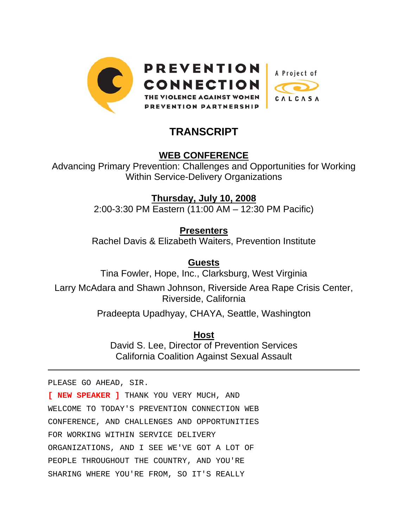

# **TRANSCRIPT**

# **WEB CONFERENCE**

Advancing Primary Prevention: Challenges and Opportunities for Working Within Service-Delivery Organizations

> **Thursday, July 10, 2008** 2:00-3:30 PM Eastern (11:00 AM – 12:30 PM Pacific)

> > **Presenters**

Rachel Davis & Elizabeth Waiters, Prevention Institute

**Guests**

Tina Fowler, Hope, Inc., Clarksburg, West Virginia

Larry McAdara and Shawn Johnson, Riverside Area Rape Crisis Center, Riverside, California

Pradeepta Upadhyay, CHAYA, Seattle, Washington

**Host**

David S. Lee, Director of Prevention Services California Coalition Against Sexual Assault

PLEASE GO AHEAD, SIR.

 $\overline{a}$ 

**[ NEW SPEAKER ]** THANK YOU VERY MUCH, AND WELCOME TO TODAY'S PREVENTION CONNECTION WEB CONFERENCE, AND CHALLENGES AND OPPORTUNITIES FOR WORKING WITHIN SERVICE DELIVERY ORGANIZATIONS, AND I SEE WE'VE GOT A LOT OF PEOPLE THROUGHOUT THE COUNTRY, AND YOU'RE SHARING WHERE YOU'RE FROM, SO IT'S REALLY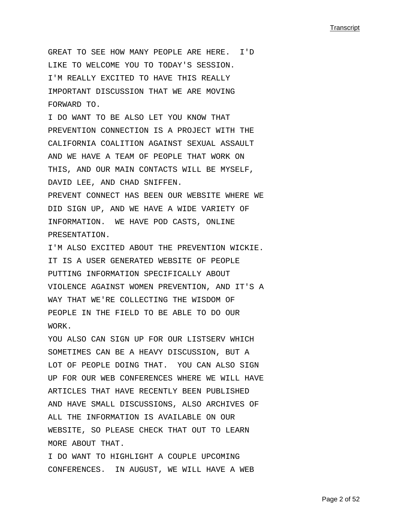GREAT TO SEE HOW MANY PEOPLE ARE HERE. I'D LIKE TO WELCOME YOU TO TODAY'S SESSION. I'M REALLY EXCITED TO HAVE THIS REALLY IMPORTANT DISCUSSION THAT WE ARE MOVING FORWARD TO.

I DO WANT TO BE ALSO LET YOU KNOW THAT PREVENTION CONNECTION IS A PROJECT WITH THE CALIFORNIA COALITION AGAINST SEXUAL ASSAULT AND WE HAVE A TEAM OF PEOPLE THAT WORK ON THIS, AND OUR MAIN CONTACTS WILL BE MYSELF, DAVID LEE, AND CHAD SNIFFEN.

PREVENT CONNECT HAS BEEN OUR WEBSITE WHERE WE DID SIGN UP, AND WE HAVE A WIDE VARIETY OF INFORMATION. WE HAVE POD CASTS, ONLINE PRESENTATION.

I'M ALSO EXCITED ABOUT THE PREVENTION WICKIE. IT IS A USER GENERATED WEBSITE OF PEOPLE PUTTING INFORMATION SPECIFICALLY ABOUT VIOLENCE AGAINST WOMEN PREVENTION, AND IT'S A WAY THAT WE'RE COLLECTING THE WISDOM OF PEOPLE IN THE FIELD TO BE ABLE TO DO OUR WORK.

YOU ALSO CAN SIGN UP FOR OUR LISTSERV WHICH SOMETIMES CAN BE A HEAVY DISCUSSION, BUT A LOT OF PEOPLE DOING THAT. YOU CAN ALSO SIGN UP FOR OUR WEB CONFERENCES WHERE WE WILL HAVE ARTICLES THAT HAVE RECENTLY BEEN PUBLISHED AND HAVE SMALL DISCUSSIONS, ALSO ARCHIVES OF ALL THE INFORMATION IS AVAILABLE ON OUR WEBSITE, SO PLEASE CHECK THAT OUT TO LEARN MORE ABOUT THAT.

I DO WANT TO HIGHLIGHT A COUPLE UPCOMING CONFERENCES. IN AUGUST, WE WILL HAVE A WEB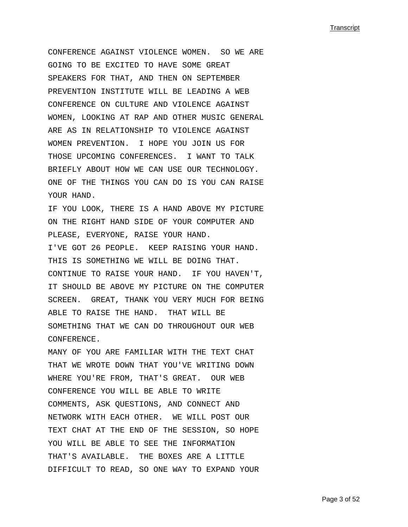CONFERENCE AGAINST VIOLENCE WOMEN. SO WE ARE GOING TO BE EXCITED TO HAVE SOME GREAT SPEAKERS FOR THAT, AND THEN ON SEPTEMBER PREVENTION INSTITUTE WILL BE LEADING A WEB CONFERENCE ON CULTURE AND VIOLENCE AGAINST WOMEN, LOOKING AT RAP AND OTHER MUSIC GENERAL ARE AS IN RELATIONSHIP TO VIOLENCE AGAINST WOMEN PREVENTION. I HOPE YOU JOIN US FOR THOSE UPCOMING CONFERENCES. I WANT TO TALK BRIEFLY ABOUT HOW WE CAN USE OUR TECHNOLOGY. ONE OF THE THINGS YOU CAN DO IS YOU CAN RAISE YOUR HAND.

IF YOU LOOK, THERE IS A HAND ABOVE MY PICTURE ON THE RIGHT HAND SIDE OF YOUR COMPUTER AND PLEASE, EVERYONE, RAISE YOUR HAND. I'VE GOT 26 PEOPLE. KEEP RAISING YOUR HAND. THIS IS SOMETHING WE WILL BE DOING THAT. CONTINUE TO RAISE YOUR HAND. IF YOU HAVEN'T, IT SHOULD BE ABOVE MY PICTURE ON THE COMPUTER SCREEN. GREAT, THANK YOU VERY MUCH FOR BEING ABLE TO RAISE THE HAND. THAT WILL BE SOMETHING THAT WE CAN DO THROUGHOUT OUR WEB CONFERENCE.

MANY OF YOU ARE FAMILIAR WITH THE TEXT CHAT THAT WE WROTE DOWN THAT YOU'VE WRITING DOWN WHERE YOU'RE FROM, THAT'S GREAT. OUR WEB CONFERENCE YOU WILL BE ABLE TO WRITE COMMENTS, ASK QUESTIONS, AND CONNECT AND NETWORK WITH EACH OTHER. WE WILL POST OUR TEXT CHAT AT THE END OF THE SESSION, SO HOPE YOU WILL BE ABLE TO SEE THE INFORMATION THAT'S AVAILABLE. THE BOXES ARE A LITTLE DIFFICULT TO READ, SO ONE WAY TO EXPAND YOUR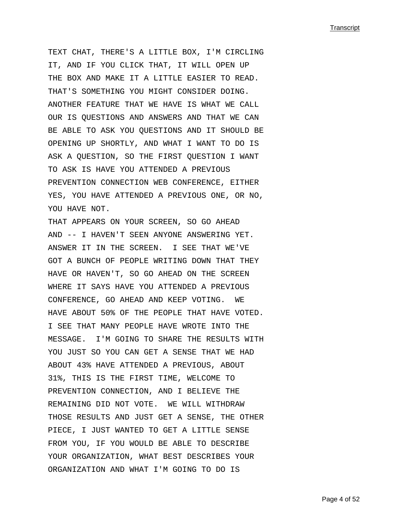TEXT CHAT, THERE'S A LITTLE BOX, I'M CIRCLING IT, AND IF YOU CLICK THAT, IT WILL OPEN UP THE BOX AND MAKE IT A LITTLE EASIER TO READ. THAT'S SOMETHING YOU MIGHT CONSIDER DOING. ANOTHER FEATURE THAT WE HAVE IS WHAT WE CALL OUR IS QUESTIONS AND ANSWERS AND THAT WE CAN BE ABLE TO ASK YOU QUESTIONS AND IT SHOULD BE OPENING UP SHORTLY, AND WHAT I WANT TO DO IS ASK A QUESTION, SO THE FIRST QUESTION I WANT TO ASK IS HAVE YOU ATTENDED A PREVIOUS PREVENTION CONNECTION WEB CONFERENCE, EITHER YES, YOU HAVE ATTENDED A PREVIOUS ONE, OR NO, YOU HAVE NOT.

THAT APPEARS ON YOUR SCREEN, SO GO AHEAD AND -- I HAVEN'T SEEN ANYONE ANSWERING YET. ANSWER IT IN THE SCREEN. I SEE THAT WE'VE GOT A BUNCH OF PEOPLE WRITING DOWN THAT THEY HAVE OR HAVEN'T, SO GO AHEAD ON THE SCREEN WHERE IT SAYS HAVE YOU ATTENDED A PREVIOUS CONFERENCE, GO AHEAD AND KEEP VOTING. WE HAVE ABOUT 50% OF THE PEOPLE THAT HAVE VOTED. I SEE THAT MANY PEOPLE HAVE WROTE INTO THE MESSAGE. I'M GOING TO SHARE THE RESULTS WITH YOU JUST SO YOU CAN GET A SENSE THAT WE HAD ABOUT 43% HAVE ATTENDED A PREVIOUS, ABOUT 31%, THIS IS THE FIRST TIME, WELCOME TO PREVENTION CONNECTION, AND I BELIEVE THE REMAINING DID NOT VOTE. WE WILL WITHDRAW THOSE RESULTS AND JUST GET A SENSE, THE OTHER PIECE, I JUST WANTED TO GET A LITTLE SENSE FROM YOU, IF YOU WOULD BE ABLE TO DESCRIBE YOUR ORGANIZATION, WHAT BEST DESCRIBES YOUR ORGANIZATION AND WHAT I'M GOING TO DO IS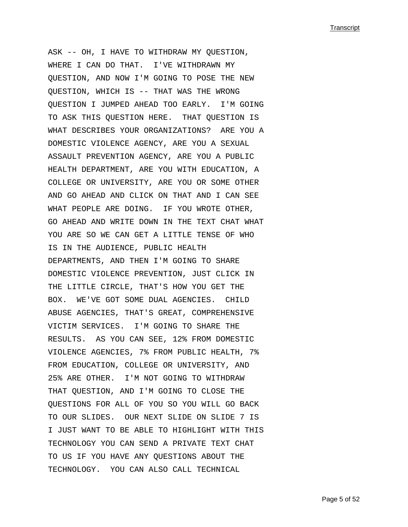ASK -- OH, I HAVE TO WITHDRAW MY QUESTION, WHERE I CAN DO THAT. I'VE WITHDRAWN MY QUESTION, AND NOW I'M GOING TO POSE THE NEW QUESTION, WHICH IS -- THAT WAS THE WRONG QUESTION I JUMPED AHEAD TOO EARLY. I'M GOING TO ASK THIS QUESTION HERE. THAT QUESTION IS WHAT DESCRIBES YOUR ORGANIZATIONS? ARE YOU A DOMESTIC VIOLENCE AGENCY, ARE YOU A SEXUAL ASSAULT PREVENTION AGENCY, ARE YOU A PUBLIC HEALTH DEPARTMENT, ARE YOU WITH EDUCATION, A COLLEGE OR UNIVERSITY, ARE YOU OR SOME OTHER AND GO AHEAD AND CLICK ON THAT AND I CAN SEE WHAT PEOPLE ARE DOING. IF YOU WROTE OTHER, GO AHEAD AND WRITE DOWN IN THE TEXT CHAT WHAT YOU ARE SO WE CAN GET A LITTLE TENSE OF WHO IS IN THE AUDIENCE, PUBLIC HEALTH DEPARTMENTS, AND THEN I'M GOING TO SHARE DOMESTIC VIOLENCE PREVENTION, JUST CLICK IN THE LITTLE CIRCLE, THAT'S HOW YOU GET THE BOX. WE'VE GOT SOME DUAL AGENCIES. CHILD ABUSE AGENCIES, THAT'S GREAT, COMPREHENSIVE VICTIM SERVICES. I'M GOING TO SHARE THE RESULTS. AS YOU CAN SEE, 12% FROM DOMESTIC VIOLENCE AGENCIES, 7% FROM PUBLIC HEALTH, 7% FROM EDUCATION, COLLEGE OR UNIVERSITY, AND 25% ARE OTHER. I'M NOT GOING TO WITHDRAW THAT QUESTION, AND I'M GOING TO CLOSE THE QUESTIONS FOR ALL OF YOU SO YOU WILL GO BACK TO OUR SLIDES. OUR NEXT SLIDE ON SLIDE 7 IS I JUST WANT TO BE ABLE TO HIGHLIGHT WITH THIS TECHNOLOGY YOU CAN SEND A PRIVATE TEXT CHAT TO US IF YOU HAVE ANY QUESTIONS ABOUT THE TECHNOLOGY. YOU CAN ALSO CALL TECHNICAL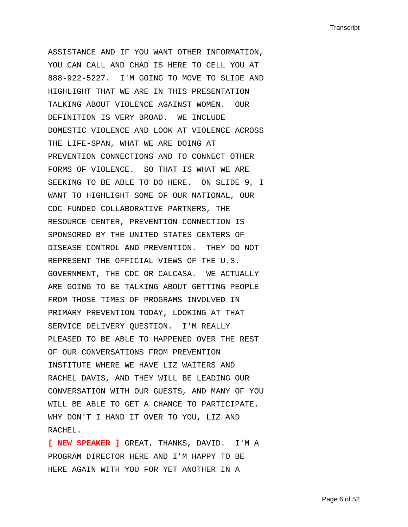ASSISTANCE AND IF YOU WANT OTHER INFORMATION, YOU CAN CALL AND CHAD IS HERE TO CELL YOU AT 888-922-5227. I'M GOING TO MOVE TO SLIDE AND HIGHLIGHT THAT WE ARE IN THIS PRESENTATION TALKING ABOUT VIOLENCE AGAINST WOMEN. OUR DEFINITION IS VERY BROAD. WE INCLUDE DOMESTIC VIOLENCE AND LOOK AT VIOLENCE ACROSS THE LIFE-SPAN, WHAT WE ARE DOING AT PREVENTION CONNECTIONS AND TO CONNECT OTHER FORMS OF VIOLENCE. SO THAT IS WHAT WE ARE SEEKING TO BE ABLE TO DO HERE. ON SLIDE 9, I WANT TO HIGHLIGHT SOME OF OUR NATIONAL, OUR CDC-FUNDED COLLABORATIVE PARTNERS, THE RESOURCE CENTER, PREVENTION CONNECTION IS SPONSORED BY THE UNITED STATES CENTERS OF DISEASE CONTROL AND PREVENTION. THEY DO NOT REPRESENT THE OFFICIAL VIEWS OF THE U.S. GOVERNMENT, THE CDC OR CALCASA. WE ACTUALLY ARE GOING TO BE TALKING ABOUT GETTING PEOPLE FROM THOSE TIMES OF PROGRAMS INVOLVED IN PRIMARY PREVENTION TODAY, LOOKING AT THAT SERVICE DELIVERY QUESTION. I'M REALLY PLEASED TO BE ABLE TO HAPPENED OVER THE REST OF OUR CONVERSATIONS FROM PREVENTION INSTITUTE WHERE WE HAVE LIZ WAITERS AND RACHEL DAVIS, AND THEY WILL BE LEADING OUR CONVERSATION WITH OUR GUESTS, AND MANY OF YOU WILL BE ABLE TO GET A CHANCE TO PARTICIPATE. WHY DON'T I HAND IT OVER TO YOU, LIZ AND RACHEL.

**[ NEW SPEAKER ]** GREAT, THANKS, DAVID. I'M A PROGRAM DIRECTOR HERE AND I'M HAPPY TO BE HERE AGAIN WITH YOU FOR YET ANOTHER IN A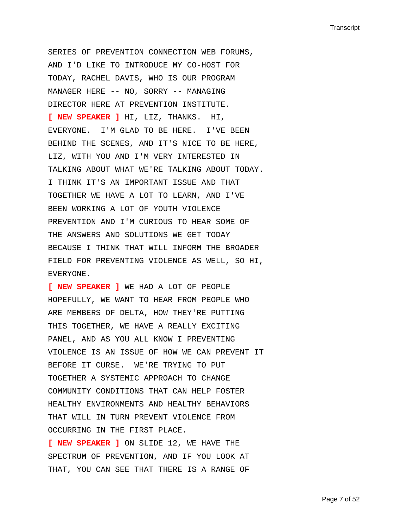SERIES OF PREVENTION CONNECTION WEB FORUMS, AND I'D LIKE TO INTRODUCE MY CO-HOST FOR TODAY, RACHEL DAVIS, WHO IS OUR PROGRAM MANAGER HERE -- NO, SORRY -- MANAGING DIRECTOR HERE AT PREVENTION INSTITUTE. **[ NEW SPEAKER ]** HI, LIZ, THANKS. HI, EVERYONE. I'M GLAD TO BE HERE. I'VE BEEN BEHIND THE SCENES, AND IT'S NICE TO BE HERE, LIZ, WITH YOU AND I'M VERY INTERESTED IN TALKING ABOUT WHAT WE'RE TALKING ABOUT TODAY. I THINK IT'S AN IMPORTANT ISSUE AND THAT TOGETHER WE HAVE A LOT TO LEARN, AND I'VE BEEN WORKING A LOT OF YOUTH VIOLENCE PREVENTION AND I'M CURIOUS TO HEAR SOME OF THE ANSWERS AND SOLUTIONS WE GET TODAY BECAUSE I THINK THAT WILL INFORM THE BROADER FIELD FOR PREVENTING VIOLENCE AS WELL, SO HI, EVERYONE.

**[ NEW SPEAKER ]** WE HAD A LOT OF PEOPLE HOPEFULLY, WE WANT TO HEAR FROM PEOPLE WHO ARE MEMBERS OF DELTA, HOW THEY'RE PUTTING THIS TOGETHER, WE HAVE A REALLY EXCITING PANEL, AND AS YOU ALL KNOW I PREVENTING VIOLENCE IS AN ISSUE OF HOW WE CAN PREVENT IT BEFORE IT CURSE. WE'RE TRYING TO PUT TOGETHER A SYSTEMIC APPROACH TO CHANGE COMMUNITY CONDITIONS THAT CAN HELP FOSTER HEALTHY ENVIRONMENTS AND HEALTHY BEHAVIORS THAT WILL IN TURN PREVENT VIOLENCE FROM OCCURRING IN THE FIRST PLACE.

**[ NEW SPEAKER ]** ON SLIDE 12, WE HAVE THE SPECTRUM OF PREVENTION, AND IF YOU LOOK AT THAT, YOU CAN SEE THAT THERE IS A RANGE OF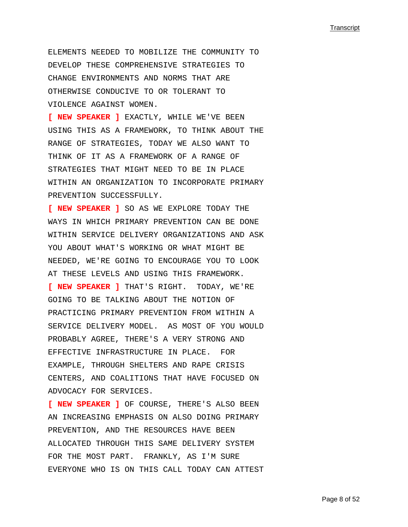ELEMENTS NEEDED TO MOBILIZE THE COMMUNITY TO DEVELOP THESE COMPREHENSIVE STRATEGIES TO CHANGE ENVIRONMENTS AND NORMS THAT ARE OTHERWISE CONDUCIVE TO OR TOLERANT TO VIOLENCE AGAINST WOMEN.

**[ NEW SPEAKER ]** EXACTLY, WHILE WE'VE BEEN USING THIS AS A FRAMEWORK, TO THINK ABOUT THE RANGE OF STRATEGIES, TODAY WE ALSO WANT TO THINK OF IT AS A FRAMEWORK OF A RANGE OF STRATEGIES THAT MIGHT NEED TO BE IN PLACE WITHIN AN ORGANIZATION TO INCORPORATE PRIMARY PREVENTION SUCCESSFULLY.

**[ NEW SPEAKER ]** SO AS WE EXPLORE TODAY THE WAYS IN WHICH PRIMARY PREVENTION CAN BE DONE WITHIN SERVICE DELIVERY ORGANIZATIONS AND ASK YOU ABOUT WHAT'S WORKING OR WHAT MIGHT BE NEEDED, WE'RE GOING TO ENCOURAGE YOU TO LOOK AT THESE LEVELS AND USING THIS FRAMEWORK. **[ NEW SPEAKER ]** THAT'S RIGHT. TODAY, WE'RE GOING TO BE TALKING ABOUT THE NOTION OF PRACTICING PRIMARY PREVENTION FROM WITHIN A SERVICE DELIVERY MODEL. AS MOST OF YOU WOULD PROBABLY AGREE, THERE'S A VERY STRONG AND EFFECTIVE INFRASTRUCTURE IN PLACE. FOR EXAMPLE, THROUGH SHELTERS AND RAPE CRISIS CENTERS, AND COALITIONS THAT HAVE FOCUSED ON ADVOCACY FOR SERVICES.

**[ NEW SPEAKER ]** OF COURSE, THERE'S ALSO BEEN AN INCREASING EMPHASIS ON ALSO DOING PRIMARY PREVENTION, AND THE RESOURCES HAVE BEEN ALLOCATED THROUGH THIS SAME DELIVERY SYSTEM FOR THE MOST PART. FRANKLY, AS I'M SURE EVERYONE WHO IS ON THIS CALL TODAY CAN ATTEST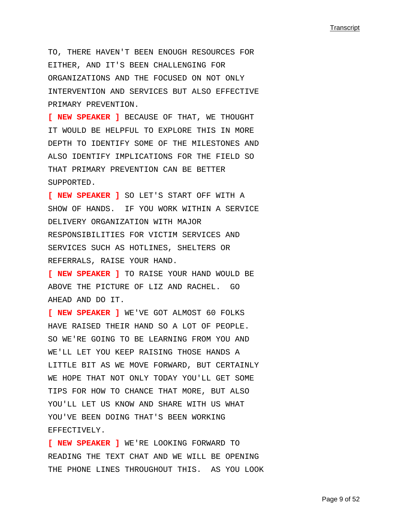TO, THERE HAVEN'T BEEN ENOUGH RESOURCES FOR EITHER, AND IT'S BEEN CHALLENGING FOR ORGANIZATIONS AND THE FOCUSED ON NOT ONLY INTERVENTION AND SERVICES BUT ALSO EFFECTIVE PRIMARY PREVENTION.

**[ NEW SPEAKER ]** BECAUSE OF THAT, WE THOUGHT IT WOULD BE HELPFUL TO EXPLORE THIS IN MORE DEPTH TO IDENTIFY SOME OF THE MILESTONES AND ALSO IDENTIFY IMPLICATIONS FOR THE FIELD SO THAT PRIMARY PREVENTION CAN BE BETTER SUPPORTED.

**[ NEW SPEAKER ]** SO LET'S START OFF WITH A SHOW OF HANDS. IF YOU WORK WITHIN A SERVICE DELIVERY ORGANIZATION WITH MAJOR RESPONSIBILITIES FOR VICTIM SERVICES AND SERVICES SUCH AS HOTLINES, SHELTERS OR REFERRALS, RAISE YOUR HAND.

**[ NEW SPEAKER ]** TO RAISE YOUR HAND WOULD BE ABOVE THE PICTURE OF LIZ AND RACHEL. GO AHEAD AND DO IT.

**[ NEW SPEAKER ]** WE'VE GOT ALMOST 60 FOLKS HAVE RAISED THEIR HAND SO A LOT OF PEOPLE. SO WE'RE GOING TO BE LEARNING FROM YOU AND WE'LL LET YOU KEEP RAISING THOSE HANDS A LITTLE BIT AS WE MOVE FORWARD, BUT CERTAINLY WE HOPE THAT NOT ONLY TODAY YOU'LL GET SOME TIPS FOR HOW TO CHANCE THAT MORE, BUT ALSO YOU'LL LET US KNOW AND SHARE WITH US WHAT YOU'VE BEEN DOING THAT'S BEEN WORKING EFFECTIVELY.

**[ NEW SPEAKER ]** WE'RE LOOKING FORWARD TO READING THE TEXT CHAT AND WE WILL BE OPENING THE PHONE LINES THROUGHOUT THIS. AS YOU LOOK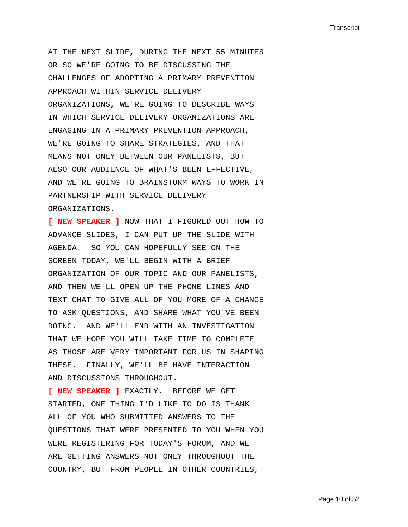AT THE NEXT SLIDE, DURING THE NEXT 55 MINUTES OR SO WE'RE GOING TO BE DISCUSSING THE CHALLENGES OF ADOPTING A PRIMARY PREVENTION APPROACH WITHIN SERVICE DELIVERY ORGANIZATIONS, WE'RE GOING TO DESCRIBE WAYS IN WHICH SERVICE DELIVERY ORGANIZATIONS ARE ENGAGING IN A PRIMARY PREVENTION APPROACH, WE'RE GOING TO SHARE STRATEGIES, AND THAT MEANS NOT ONLY BETWEEN OUR PANELISTS, BUT ALSO OUR AUDIENCE OF WHAT'S BEEN EFFECTIVE, AND WE'RE GOING TO BRAINSTORM WAYS TO WORK IN PARTNERSHIP WITH SERVICE DELIVERY ORGANIZATIONS.

**[ NEW SPEAKER ]** NOW THAT I FIGURED OUT HOW TO ADVANCE SLIDES, I CAN PUT UP THE SLIDE WITH AGENDA. SO YOU CAN HOPEFULLY SEE ON THE SCREEN TODAY, WE'LL BEGIN WITH A BRIEF ORGANIZATION OF OUR TOPIC AND OUR PANELISTS, AND THEN WE'LL OPEN UP THE PHONE LINES AND TEXT CHAT TO GIVE ALL OF YOU MORE OF A CHANCE TO ASK QUESTIONS, AND SHARE WHAT YOU'VE BEEN DOING. AND WE'LL END WITH AN INVESTIGATION THAT WE HOPE YOU WILL TAKE TIME TO COMPLETE AS THOSE ARE VERY IMPORTANT FOR US IN SHAPING THESE. FINALLY, WE'LL BE HAVE INTERACTION AND DISCUSSIONS THROUGHOUT.

**[ NEW SPEAKER ]** EXACTLY. BEFORE WE GET STARTED, ONE THING I'D LIKE TO DO IS THANK ALL OF YOU WHO SUBMITTED ANSWERS TO THE QUESTIONS THAT WERE PRESENTED TO YOU WHEN YOU WERE REGISTERING FOR TODAY'S FORUM, AND WE ARE GETTING ANSWERS NOT ONLY THROUGHOUT THE COUNTRY, BUT FROM PEOPLE IN OTHER COUNTRIES,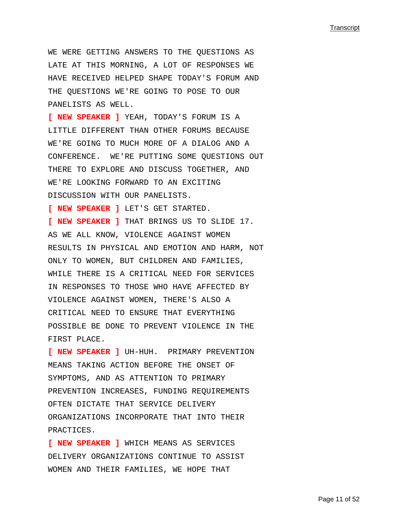WE WERE GETTING ANSWERS TO THE QUESTIONS AS LATE AT THIS MORNING, A LOT OF RESPONSES WE HAVE RECEIVED HELPED SHAPE TODAY'S FORUM AND THE QUESTIONS WE'RE GOING TO POSE TO OUR PANELISTS AS WELL.

**[ NEW SPEAKER ]** YEAH, TODAY'S FORUM IS A LITTLE DIFFERENT THAN OTHER FORUMS BECAUSE WE'RE GOING TO MUCH MORE OF A DIALOG AND A CONFERENCE. WE'RE PUTTING SOME QUESTIONS OUT THERE TO EXPLORE AND DISCUSS TOGETHER, AND WE'RE LOOKING FORWARD TO AN EXCITING DISCUSSION WITH OUR PANELISTS.

**[ NEW SPEAKER ]** LET'S GET STARTED.

**[ NEW SPEAKER ]** THAT BRINGS US TO SLIDE 17. AS WE ALL KNOW, VIOLENCE AGAINST WOMEN RESULTS IN PHYSICAL AND EMOTION AND HARM, NOT ONLY TO WOMEN, BUT CHILDREN AND FAMILIES, WHILE THERE IS A CRITICAL NEED FOR SERVICES IN RESPONSES TO THOSE WHO HAVE AFFECTED BY VIOLENCE AGAINST WOMEN, THERE'S ALSO A CRITICAL NEED TO ENSURE THAT EVERYTHING POSSIBLE BE DONE TO PREVENT VIOLENCE IN THE FIRST PLACE.

**[ NEW SPEAKER ]** UH-HUH. PRIMARY PREVENTION MEANS TAKING ACTION BEFORE THE ONSET OF SYMPTOMS, AND AS ATTENTION TO PRIMARY PREVENTION INCREASES, FUNDING REQUIREMENTS OFTEN DICTATE THAT SERVICE DELIVERY ORGANIZATIONS INCORPORATE THAT INTO THEIR PRACTICES.

**[ NEW SPEAKER ]** WHICH MEANS AS SERVICES DELIVERY ORGANIZATIONS CONTINUE TO ASSIST WOMEN AND THEIR FAMILIES, WE HOPE THAT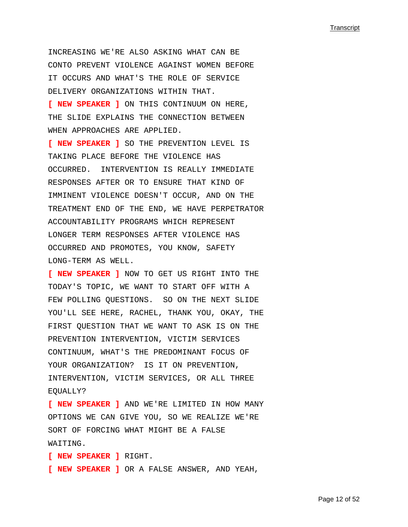INCREASING WE'RE ALSO ASKING WHAT CAN BE CONTO PREVENT VIOLENCE AGAINST WOMEN BEFORE IT OCCURS AND WHAT'S THE ROLE OF SERVICE DELIVERY ORGANIZATIONS WITHIN THAT.

**[ NEW SPEAKER ]** ON THIS CONTINUUM ON HERE, THE SLIDE EXPLAINS THE CONNECTION BETWEEN WHEN APPROACHES ARE APPLIED.

**[ NEW SPEAKER ]** SO THE PREVENTION LEVEL IS TAKING PLACE BEFORE THE VIOLENCE HAS OCCURRED. INTERVENTION IS REALLY IMMEDIATE RESPONSES AFTER OR TO ENSURE THAT KIND OF IMMINENT VIOLENCE DOESN'T OCCUR, AND ON THE TREATMENT END OF THE END, WE HAVE PERPETRATOR ACCOUNTABILITY PROGRAMS WHICH REPRESENT LONGER TERM RESPONSES AFTER VIOLENCE HAS OCCURRED AND PROMOTES, YOU KNOW, SAFETY LONG-TERM AS WELL.

**[ NEW SPEAKER ]** NOW TO GET US RIGHT INTO THE TODAY'S TOPIC, WE WANT TO START OFF WITH A FEW POLLING OUESTIONS. SO ON THE NEXT SLIDE YOU'LL SEE HERE, RACHEL, THANK YOU, OKAY, THE FIRST QUESTION THAT WE WANT TO ASK IS ON THE PREVENTION INTERVENTION, VICTIM SERVICES CONTINUUM, WHAT'S THE PREDOMINANT FOCUS OF YOUR ORGANIZATION? IS IT ON PREVENTION, INTERVENTION, VICTIM SERVICES, OR ALL THREE EQUALLY?

**[ NEW SPEAKER ]** AND WE'RE LIMITED IN HOW MANY OPTIONS WE CAN GIVE YOU, SO WE REALIZE WE'RE SORT OF FORCING WHAT MIGHT BE A FALSE WAITING.

**[ NEW SPEAKER ]** RIGHT. **[ NEW SPEAKER ]** OR A FALSE ANSWER, AND YEAH,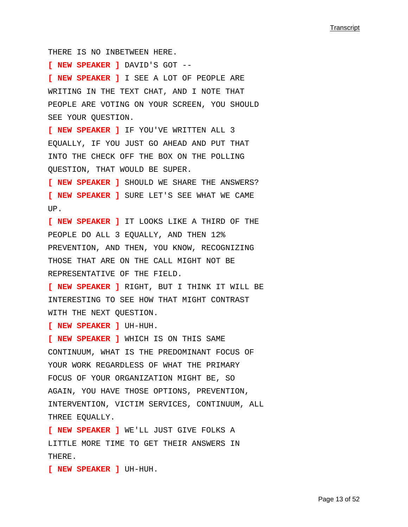THERE IS NO INBETWEEN HERE. **[ NEW SPEAKER ]** DAVID'S GOT -- **[ NEW SPEAKER ]** I SEE A LOT OF PEOPLE ARE WRITING IN THE TEXT CHAT, AND I NOTE THAT PEOPLE ARE VOTING ON YOUR SCREEN, YOU SHOULD SEE YOUR QUESTION. **[ NEW SPEAKER ]** IF YOU'VE WRITTEN ALL 3 EQUALLY, IF YOU JUST GO AHEAD AND PUT THAT INTO THE CHECK OFF THE BOX ON THE POLLING QUESTION, THAT WOULD BE SUPER. **[ NEW SPEAKER ]** SHOULD WE SHARE THE ANSWERS? **[ NEW SPEAKER ]** SURE LET'S SEE WHAT WE CAME UP. **[ NEW SPEAKER ]** IT LOOKS LIKE A THIRD OF THE PEOPLE DO ALL 3 EQUALLY, AND THEN 12% PREVENTION, AND THEN, YOU KNOW, RECOGNIZING THOSE THAT ARE ON THE CALL MIGHT NOT BE REPRESENTATIVE OF THE FIELD. **[ NEW SPEAKER ]** RIGHT, BUT I THINK IT WILL BE INTERESTING TO SEE HOW THAT MIGHT CONTRAST WITH THE NEXT QUESTION. **[ NEW SPEAKER ]** UH-HUH. **[ NEW SPEAKER ]** WHICH IS ON THIS SAME CONTINUUM, WHAT IS THE PREDOMINANT FOCUS OF YOUR WORK REGARDLESS OF WHAT THE PRIMARY FOCUS OF YOUR ORGANIZATION MIGHT BE, SO AGAIN, YOU HAVE THOSE OPTIONS, PREVENTION, INTERVENTION, VICTIM SERVICES, CONTINUUM, ALL THREE EQUALLY. **[ NEW SPEAKER ]** WE'LL JUST GIVE FOLKS A LITTLE MORE TIME TO GET THEIR ANSWERS IN

**[ NEW SPEAKER ]** UH-HUH.

THERE.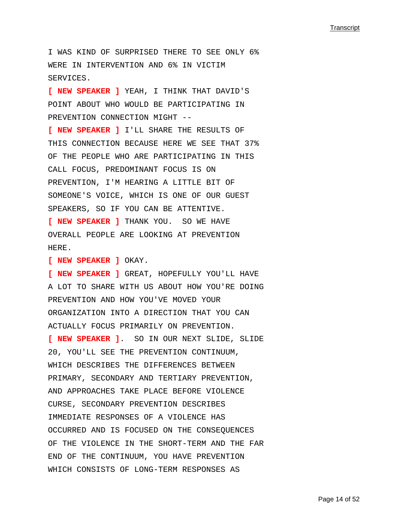I WAS KIND OF SURPRISED THERE TO SEE ONLY 6% WERE IN INTERVENTION AND 6% IN VICTIM SERVICES.

**[ NEW SPEAKER ]** YEAH, I THINK THAT DAVID'S POINT ABOUT WHO WOULD BE PARTICIPATING IN PREVENTION CONNECTION MIGHT --

**[ NEW SPEAKER ]** I'LL SHARE THE RESULTS OF THIS CONNECTION BECAUSE HERE WE SEE THAT 37% OF THE PEOPLE WHO ARE PARTICIPATING IN THIS CALL FOCUS, PREDOMINANT FOCUS IS ON PREVENTION, I'M HEARING A LITTLE BIT OF SOMEONE'S VOICE, WHICH IS ONE OF OUR GUEST SPEAKERS, SO IF YOU CAN BE ATTENTIVE.

**[ NEW SPEAKER ]** THANK YOU. SO WE HAVE OVERALL PEOPLE ARE LOOKING AT PREVENTION HERE.

**[ NEW SPEAKER ]** OKAY.

**[ NEW SPEAKER ]** GREAT, HOPEFULLY YOU'LL HAVE A LOT TO SHARE WITH US ABOUT HOW YOU'RE DOING PREVENTION AND HOW YOU'VE MOVED YOUR ORGANIZATION INTO A DIRECTION THAT YOU CAN ACTUALLY FOCUS PRIMARILY ON PREVENTION. **[ NEW SPEAKER ]**. SO IN OUR NEXT SLIDE, SLIDE 20, YOU'LL SEE THE PREVENTION CONTINUUM, WHICH DESCRIBES THE DIFFERENCES BETWEEN PRIMARY, SECONDARY AND TERTIARY PREVENTION, AND APPROACHES TAKE PLACE BEFORE VIOLENCE CURSE, SECONDARY PREVENTION DESCRIBES IMMEDIATE RESPONSES OF A VIOLENCE HAS OCCURRED AND IS FOCUSED ON THE CONSEQUENCES OF THE VIOLENCE IN THE SHORT-TERM AND THE FAR END OF THE CONTINUUM, YOU HAVE PREVENTION WHICH CONSISTS OF LONG-TERM RESPONSES AS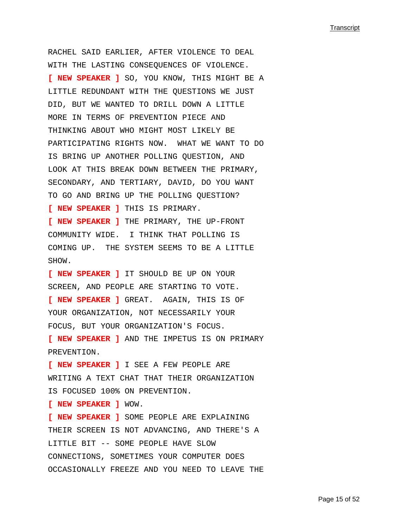RACHEL SAID EARLIER, AFTER VIOLENCE TO DEAL WITH THE LASTING CONSEQUENCES OF VIOLENCE. **[ NEW SPEAKER ]** SO, YOU KNOW, THIS MIGHT BE A LITTLE REDUNDANT WITH THE QUESTIONS WE JUST DID, BUT WE WANTED TO DRILL DOWN A LITTLE MORE IN TERMS OF PREVENTION PIECE AND THINKING ABOUT WHO MIGHT MOST LIKELY BE PARTICIPATING RIGHTS NOW. WHAT WE WANT TO DO IS BRING UP ANOTHER POLLING QUESTION, AND LOOK AT THIS BREAK DOWN BETWEEN THE PRIMARY, SECONDARY, AND TERTIARY, DAVID, DO YOU WANT TO GO AND BRING UP THE POLLING QUESTION? **[ NEW SPEAKER ]** THIS IS PRIMARY. **[ NEW SPEAKER ]** THE PRIMARY, THE UP-FRONT COMMUNITY WIDE. I THINK THAT POLLING IS COMING UP. THE SYSTEM SEEMS TO BE A LITTLE SHOW. **[ NEW SPEAKER ]** IT SHOULD BE UP ON YOUR SCREEN, AND PEOPLE ARE STARTING TO VOTE. **[ NEW SPEAKER ]** GREAT. AGAIN, THIS IS OF YOUR ORGANIZATION, NOT NECESSARILY YOUR FOCUS, BUT YOUR ORGANIZATION'S FOCUS. **[ NEW SPEAKER ]** AND THE IMPETUS IS ON PRIMARY PREVENTION. **[ NEW SPEAKER ]** I SEE A FEW PEOPLE ARE WRITING A TEXT CHAT THAT THEIR ORGANIZATION IS FOCUSED 100% ON PREVENTION. **[ NEW SPEAKER ]** WOW. **[ NEW SPEAKER ]** SOME PEOPLE ARE EXPLAINING THEIR SCREEN IS NOT ADVANCING, AND THERE'S A LITTLE BIT -- SOME PEOPLE HAVE SLOW CONNECTIONS, SOMETIMES YOUR COMPUTER DOES OCCASIONALLY FREEZE AND YOU NEED TO LEAVE THE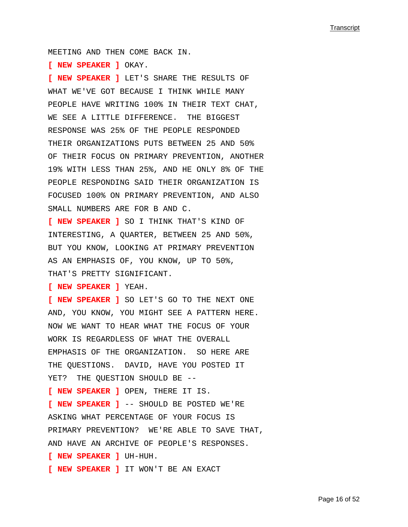MEETING AND THEN COME BACK IN.

**[ NEW SPEAKER ]** OKAY.

**[ NEW SPEAKER ]** LET'S SHARE THE RESULTS OF WHAT WE'VE GOT BECAUSE I THINK WHILE MANY PEOPLE HAVE WRITING 100% IN THEIR TEXT CHAT, WE SEE A LITTLE DIFFERENCE. THE BIGGEST RESPONSE WAS 25% OF THE PEOPLE RESPONDED THEIR ORGANIZATIONS PUTS BETWEEN 25 AND 50% OF THEIR FOCUS ON PRIMARY PREVENTION, ANOTHER 19% WITH LESS THAN 25%, AND HE ONLY 8% OF THE PEOPLE RESPONDING SAID THEIR ORGANIZATION IS FOCUSED 100% ON PRIMARY PREVENTION, AND ALSO SMALL NUMBERS ARE FOR B AND C.

**[ NEW SPEAKER ]** SO I THINK THAT'S KIND OF INTERESTING, A QUARTER, BETWEEN 25 AND 50%, BUT YOU KNOW, LOOKING AT PRIMARY PREVENTION AS AN EMPHASIS OF, YOU KNOW, UP TO 50%, THAT'S PRETTY SIGNIFICANT.

**[ NEW SPEAKER ]** YEAH.

**[ NEW SPEAKER ]** SO LET'S GO TO THE NEXT ONE AND, YOU KNOW, YOU MIGHT SEE A PATTERN HERE. NOW WE WANT TO HEAR WHAT THE FOCUS OF YOUR WORK IS REGARDLESS OF WHAT THE OVERALL EMPHASIS OF THE ORGANIZATION. SO HERE ARE THE QUESTIONS. DAVID, HAVE YOU POSTED IT YET? THE QUESTION SHOULD BE --**[ NEW SPEAKER ]** OPEN, THERE IT IS. **[ NEW SPEAKER ]** -- SHOULD BE POSTED WE'RE ASKING WHAT PERCENTAGE OF YOUR FOCUS IS PRIMARY PREVENTION? WE'RE ABLE TO SAVE THAT, AND HAVE AN ARCHIVE OF PEOPLE'S RESPONSES. **[ NEW SPEAKER ]** UH-HUH. **[ NEW SPEAKER ]** IT WON'T BE AN EXACT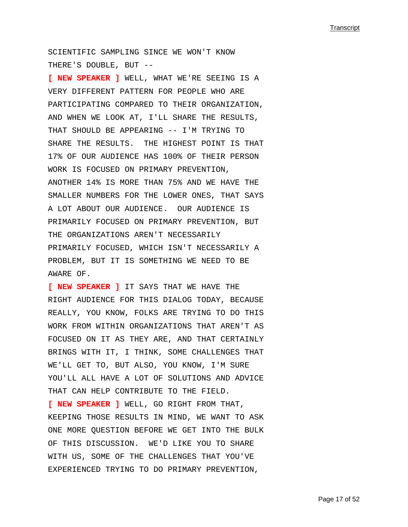SCIENTIFIC SAMPLING SINCE WE WON'T KNOW THERE'S DOUBLE, BUT --

**[ NEW SPEAKER ]** WELL, WHAT WE'RE SEEING IS A VERY DIFFERENT PATTERN FOR PEOPLE WHO ARE PARTICIPATING COMPARED TO THEIR ORGANIZATION, AND WHEN WE LOOK AT, I'LL SHARE THE RESULTS, THAT SHOULD BE APPEARING -- I'M TRYING TO SHARE THE RESULTS. THE HIGHEST POINT IS THAT 17% OF OUR AUDIENCE HAS 100% OF THEIR PERSON WORK IS FOCUSED ON PRIMARY PREVENTION, ANOTHER 14% IS MORE THAN 75% AND WE HAVE THE SMALLER NUMBERS FOR THE LOWER ONES, THAT SAYS A LOT ABOUT OUR AUDIENCE. OUR AUDIENCE IS PRIMARILY FOCUSED ON PRIMARY PREVENTION, BUT THE ORGANIZATIONS AREN'T NECESSARILY PRIMARILY FOCUSED, WHICH ISN'T NECESSARILY A PROBLEM, BUT IT IS SOMETHING WE NEED TO BE AWARE OF.

**[ NEW SPEAKER ]** IT SAYS THAT WE HAVE THE RIGHT AUDIENCE FOR THIS DIALOG TODAY, BECAUSE REALLY, YOU KNOW, FOLKS ARE TRYING TO DO THIS WORK FROM WITHIN ORGANIZATIONS THAT AREN'T AS FOCUSED ON IT AS THEY ARE, AND THAT CERTAINLY BRINGS WITH IT, I THINK, SOME CHALLENGES THAT WE'LL GET TO, BUT ALSO, YOU KNOW, I'M SURE YOU'LL ALL HAVE A LOT OF SOLUTIONS AND ADVICE THAT CAN HELP CONTRIBUTE TO THE FIELD. **[ NEW SPEAKER ]** WELL, GO RIGHT FROM THAT, KEEPING THOSE RESULTS IN MIND, WE WANT TO ASK ONE MORE QUESTION BEFORE WE GET INTO THE BULK OF THIS DISCUSSION. WE'D LIKE YOU TO SHARE

WITH US, SOME OF THE CHALLENGES THAT YOU'VE EXPERIENCED TRYING TO DO PRIMARY PREVENTION,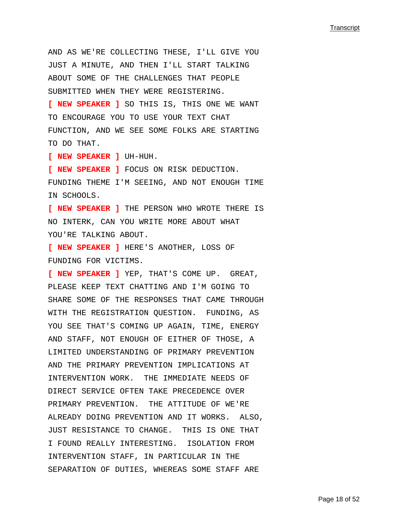AND AS WE'RE COLLECTING THESE, I'LL GIVE YOU JUST A MINUTE, AND THEN I'LL START TALKING ABOUT SOME OF THE CHALLENGES THAT PEOPLE SUBMITTED WHEN THEY WERE REGISTERING. **[ NEW SPEAKER ]** SO THIS IS, THIS ONE WE WANT TO ENCOURAGE YOU TO USE YOUR TEXT CHAT FUNCTION, AND WE SEE SOME FOLKS ARE STARTING TO DO THAT. **[ NEW SPEAKER ]** UH-HUH. **[ NEW SPEAKER ]** FOCUS ON RISK DEDUCTION.

FUNDING THEME I'M SEEING, AND NOT ENOUGH TIME IN SCHOOLS.

**[ NEW SPEAKER ]** THE PERSON WHO WROTE THERE IS NO INTERK, CAN YOU WRITE MORE ABOUT WHAT YOU'RE TALKING ABOUT.

**[ NEW SPEAKER ]** HERE'S ANOTHER, LOSS OF FUNDING FOR VICTIMS.

**[ NEW SPEAKER ]** YEP, THAT'S COME UP. GREAT, PLEASE KEEP TEXT CHATTING AND I'M GOING TO SHARE SOME OF THE RESPONSES THAT CAME THROUGH WITH THE REGISTRATION QUESTION. FUNDING, AS YOU SEE THAT'S COMING UP AGAIN, TIME, ENERGY AND STAFF, NOT ENOUGH OF EITHER OF THOSE, A LIMITED UNDERSTANDING OF PRIMARY PREVENTION AND THE PRIMARY PREVENTION IMPLICATIONS AT INTERVENTION WORK. THE IMMEDIATE NEEDS OF DIRECT SERVICE OFTEN TAKE PRECEDENCE OVER PRIMARY PREVENTION. THE ATTITUDE OF WE'RE ALREADY DOING PREVENTION AND IT WORKS. ALSO, JUST RESISTANCE TO CHANGE. THIS IS ONE THAT I FOUND REALLY INTERESTING. ISOLATION FROM INTERVENTION STAFF, IN PARTICULAR IN THE SEPARATION OF DUTIES, WHEREAS SOME STAFF ARE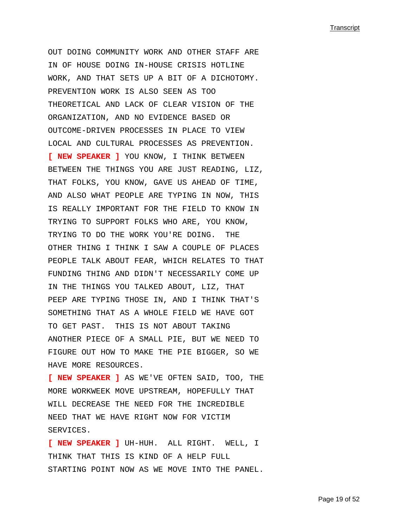OUT DOING COMMUNITY WORK AND OTHER STAFF ARE IN OF HOUSE DOING IN-HOUSE CRISIS HOTLINE WORK, AND THAT SETS UP A BIT OF A DICHOTOMY. PREVENTION WORK IS ALSO SEEN AS TOO THEORETICAL AND LACK OF CLEAR VISION OF THE ORGANIZATION, AND NO EVIDENCE BASED OR OUTCOME-DRIVEN PROCESSES IN PLACE TO VIEW LOCAL AND CULTURAL PROCESSES AS PREVENTION. **[ NEW SPEAKER ]** YOU KNOW, I THINK BETWEEN BETWEEN THE THINGS YOU ARE JUST READING, LIZ, THAT FOLKS, YOU KNOW, GAVE US AHEAD OF TIME, AND ALSO WHAT PEOPLE ARE TYPING IN NOW, THIS IS REALLY IMPORTANT FOR THE FIELD TO KNOW IN TRYING TO SUPPORT FOLKS WHO ARE, YOU KNOW, TRYING TO DO THE WORK YOU'RE DOING. THE OTHER THING I THINK I SAW A COUPLE OF PLACES PEOPLE TALK ABOUT FEAR, WHICH RELATES TO THAT FUNDING THING AND DIDN'T NECESSARILY COME UP IN THE THINGS YOU TALKED ABOUT, LIZ, THAT PEEP ARE TYPING THOSE IN, AND I THINK THAT'S SOMETHING THAT AS A WHOLE FIELD WE HAVE GOT TO GET PAST. THIS IS NOT ABOUT TAKING ANOTHER PIECE OF A SMALL PIE, BUT WE NEED TO FIGURE OUT HOW TO MAKE THE PIE BIGGER, SO WE HAVE MORE RESOURCES.

**[ NEW SPEAKER ]** AS WE'VE OFTEN SAID, TOO, THE MORE WORKWEEK MOVE UPSTREAM, HOPEFULLY THAT WILL DECREASE THE NEED FOR THE INCREDIBLE NEED THAT WE HAVE RIGHT NOW FOR VICTIM SERVICES.

**[ NEW SPEAKER ]** UH-HUH. ALL RIGHT. WELL, I THINK THAT THIS IS KIND OF A HELP FULL STARTING POINT NOW AS WE MOVE INTO THE PANEL.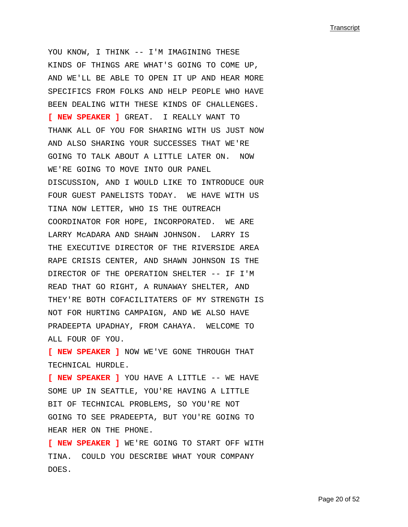YOU KNOW, I THINK -- I'M IMAGINING THESE KINDS OF THINGS ARE WHAT'S GOING TO COME UP, AND WE'LL BE ABLE TO OPEN IT UP AND HEAR MORE SPECIFICS FROM FOLKS AND HELP PEOPLE WHO HAVE BEEN DEALING WITH THESE KINDS OF CHALLENGES. **[ NEW SPEAKER ]** GREAT. I REALLY WANT TO THANK ALL OF YOU FOR SHARING WITH US JUST NOW AND ALSO SHARING YOUR SUCCESSES THAT WE'RE GOING TO TALK ABOUT A LITTLE LATER ON. NOW WE'RE GOING TO MOVE INTO OUR PANEL DISCUSSION, AND I WOULD LIKE TO INTRODUCE OUR FOUR GUEST PANELISTS TODAY. WE HAVE WITH US TINA NOW LETTER, WHO IS THE OUTREACH COORDINATOR FOR HOPE, INCORPORATED. WE ARE LARRY McADARA AND SHAWN JOHNSON. LARRY IS THE EXECUTIVE DIRECTOR OF THE RIVERSIDE AREA RAPE CRISIS CENTER, AND SHAWN JOHNSON IS THE DIRECTOR OF THE OPERATION SHELTER -- IF I'M READ THAT GO RIGHT, A RUNAWAY SHELTER, AND THEY'RE BOTH COFACILITATERS OF MY STRENGTH IS NOT FOR HURTING CAMPAIGN, AND WE ALSO HAVE PRADEEPTA UPADHAY, FROM CAHAYA. WELCOME TO ALL FOUR OF YOU.

**[ NEW SPEAKER ]** NOW WE'VE GONE THROUGH THAT TECHNICAL HURDLE.

**[ NEW SPEAKER ]** YOU HAVE A LITTLE -- WE HAVE SOME UP IN SEATTLE, YOU'RE HAVING A LITTLE BIT OF TECHNICAL PROBLEMS, SO YOU'RE NOT GOING TO SEE PRADEEPTA, BUT YOU'RE GOING TO HEAR HER ON THE PHONE.

**[ NEW SPEAKER ]** WE'RE GOING TO START OFF WITH TINA. COULD YOU DESCRIBE WHAT YOUR COMPANY DOES.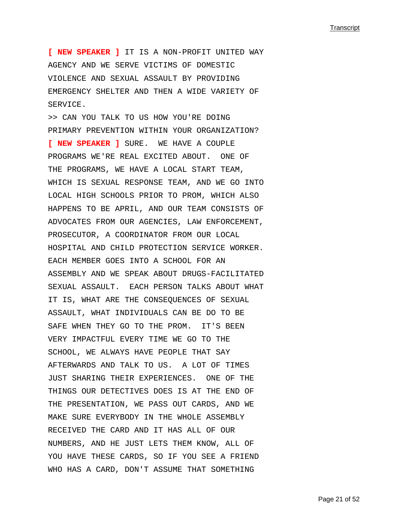**[ NEW SPEAKER ]** IT IS A NON-PROFIT UNITED WAY AGENCY AND WE SERVE VICTIMS OF DOMESTIC VIOLENCE AND SEXUAL ASSAULT BY PROVIDING EMERGENCY SHELTER AND THEN A WIDE VARIETY OF SERVICE.

>> CAN YOU TALK TO US HOW YOU'RE DOING PRIMARY PREVENTION WITHIN YOUR ORGANIZATION? **[ NEW SPEAKER ]** SURE. WE HAVE A COUPLE PROGRAMS WE'RE REAL EXCITED ABOUT. ONE OF THE PROGRAMS, WE HAVE A LOCAL START TEAM, WHICH IS SEXUAL RESPONSE TEAM, AND WE GO INTO LOCAL HIGH SCHOOLS PRIOR TO PROM, WHICH ALSO HAPPENS TO BE APRIL, AND OUR TEAM CONSISTS OF ADVOCATES FROM OUR AGENCIES, LAW ENFORCEMENT, PROSECUTOR, A COORDINATOR FROM OUR LOCAL HOSPITAL AND CHILD PROTECTION SERVICE WORKER. EACH MEMBER GOES INTO A SCHOOL FOR AN ASSEMBLY AND WE SPEAK ABOUT DRUGS-FACILITATED SEXUAL ASSAULT. EACH PERSON TALKS ABOUT WHAT IT IS, WHAT ARE THE CONSEQUENCES OF SEXUAL ASSAULT, WHAT INDIVIDUALS CAN BE DO TO BE SAFE WHEN THEY GO TO THE PROM. IT'S BEEN VERY IMPACTFUL EVERY TIME WE GO TO THE SCHOOL, WE ALWAYS HAVE PEOPLE THAT SAY AFTERWARDS AND TALK TO US. A LOT OF TIMES JUST SHARING THEIR EXPERIENCES. ONE OF THE THINGS OUR DETECTIVES DOES IS AT THE END OF THE PRESENTATION, WE PASS OUT CARDS, AND WE MAKE SURE EVERYBODY IN THE WHOLE ASSEMBLY RECEIVED THE CARD AND IT HAS ALL OF OUR NUMBERS, AND HE JUST LETS THEM KNOW, ALL OF YOU HAVE THESE CARDS, SO IF YOU SEE A FRIEND WHO HAS A CARD, DON'T ASSUME THAT SOMETHING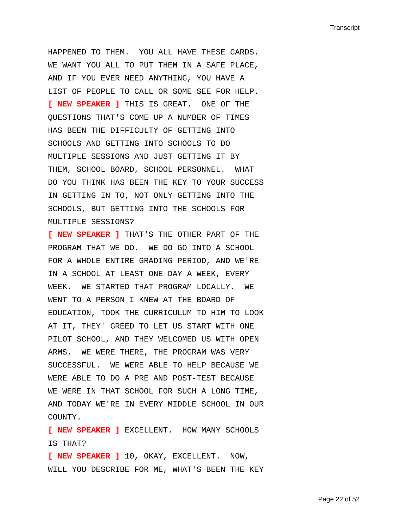HAPPENED TO THEM. YOU ALL HAVE THESE CARDS. WE WANT YOU ALL TO PUT THEM IN A SAFE PLACE, AND IF YOU EVER NEED ANYTHING, YOU HAVE A LIST OF PEOPLE TO CALL OR SOME SEE FOR HELP. **[ NEW SPEAKER ]** THIS IS GREAT. ONE OF THE QUESTIONS THAT'S COME UP A NUMBER OF TIMES HAS BEEN THE DIFFICULTY OF GETTING INTO SCHOOLS AND GETTING INTO SCHOOLS TO DO MULTIPLE SESSIONS AND JUST GETTING IT BY THEM, SCHOOL BOARD, SCHOOL PERSONNEL. WHAT DO YOU THINK HAS BEEN THE KEY TO YOUR SUCCESS IN GETTING IN TO, NOT ONLY GETTING INTO THE SCHOOLS, BUT GETTING INTO THE SCHOOLS FOR MULTIPLE SESSIONS?

**[ NEW SPEAKER ]** THAT'S THE OTHER PART OF THE PROGRAM THAT WE DO. WE DO GO INTO A SCHOOL FOR A WHOLE ENTIRE GRADING PERIOD, AND WE'RE IN A SCHOOL AT LEAST ONE DAY A WEEK, EVERY WEEK. WE STARTED THAT PROGRAM LOCALLY. WE WENT TO A PERSON I KNEW AT THE BOARD OF EDUCATION, TOOK THE CURRICULUM TO HIM TO LOOK AT IT, THEY' GREED TO LET US START WITH ONE PILOT SCHOOL, AND THEY WELCOMED US WITH OPEN ARMS. WE WERE THERE, THE PROGRAM WAS VERY SUCCESSFUL. WE WERE ABLE TO HELP BECAUSE WE WERE ABLE TO DO A PRE AND POST-TEST BECAUSE WE WERE IN THAT SCHOOL FOR SUCH A LONG TIME, AND TODAY WE'RE IN EVERY MIDDLE SCHOOL IN OUR COUNTY.

**[ NEW SPEAKER ]** EXCELLENT. HOW MANY SCHOOLS IS THAT?

**[ NEW SPEAKER ]** 10, OKAY, EXCELLENT. NOW, WILL YOU DESCRIBE FOR ME, WHAT'S BEEN THE KEY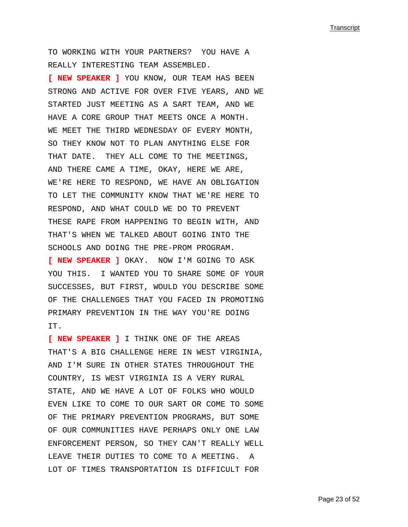TO WORKING WITH YOUR PARTNERS? YOU HAVE A REALLY INTERESTING TEAM ASSEMBLED.

**[ NEW SPEAKER ]** YOU KNOW, OUR TEAM HAS BEEN STRONG AND ACTIVE FOR OVER FIVE YEARS, AND WE STARTED JUST MEETING AS A SART TEAM, AND WE HAVE A CORE GROUP THAT MEETS ONCE A MONTH. WE MEET THE THIRD WEDNESDAY OF EVERY MONTH, SO THEY KNOW NOT TO PLAN ANYTHING ELSE FOR THAT DATE. THEY ALL COME TO THE MEETINGS, AND THERE CAME A TIME, OKAY, HERE WE ARE, WE'RE HERE TO RESPOND, WE HAVE AN OBLIGATION TO LET THE COMMUNITY KNOW THAT WE'RE HERE TO RESPOND, AND WHAT COULD WE DO TO PREVENT THESE RAPE FROM HAPPENING TO BEGIN WITH, AND THAT'S WHEN WE TALKED ABOUT GOING INTO THE SCHOOLS AND DOING THE PRE-PROM PROGRAM.

**[ NEW SPEAKER ]** OKAY. NOW I'M GOING TO ASK YOU THIS. I WANTED YOU TO SHARE SOME OF YOUR SUCCESSES, BUT FIRST, WOULD YOU DESCRIBE SOME OF THE CHALLENGES THAT YOU FACED IN PROMOTING PRIMARY PREVENTION IN THE WAY YOU'RE DOING IT.

**[ NEW SPEAKER ]** I THINK ONE OF THE AREAS THAT'S A BIG CHALLENGE HERE IN WEST VIRGINIA, AND I'M SURE IN OTHER STATES THROUGHOUT THE COUNTRY, IS WEST VIRGINIA IS A VERY RURAL STATE, AND WE HAVE A LOT OF FOLKS WHO WOULD EVEN LIKE TO COME TO OUR SART OR COME TO SOME OF THE PRIMARY PREVENTION PROGRAMS, BUT SOME OF OUR COMMUNITIES HAVE PERHAPS ONLY ONE LAW ENFORCEMENT PERSON, SO THEY CAN'T REALLY WELL LEAVE THEIR DUTIES TO COME TO A MEETING. A LOT OF TIMES TRANSPORTATION IS DIFFICULT FOR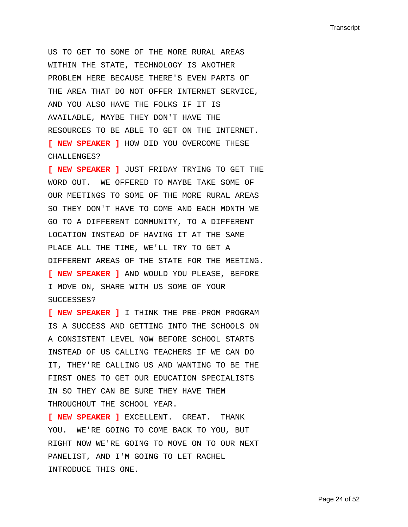US TO GET TO SOME OF THE MORE RURAL AREAS WITHIN THE STATE, TECHNOLOGY IS ANOTHER PROBLEM HERE BECAUSE THERE'S EVEN PARTS OF THE AREA THAT DO NOT OFFER INTERNET SERVICE, AND YOU ALSO HAVE THE FOLKS IF IT IS AVAILABLE, MAYBE THEY DON'T HAVE THE RESOURCES TO BE ABLE TO GET ON THE INTERNET. **[ NEW SPEAKER ]** HOW DID YOU OVERCOME THESE CHALLENGES?

**[ NEW SPEAKER ]** JUST FRIDAY TRYING TO GET THE WORD OUT. WE OFFERED TO MAYBE TAKE SOME OF OUR MEETINGS TO SOME OF THE MORE RURAL AREAS SO THEY DON'T HAVE TO COME AND EACH MONTH WE GO TO A DIFFERENT COMMUNITY, TO A DIFFERENT LOCATION INSTEAD OF HAVING IT AT THE SAME PLACE ALL THE TIME, WE'LL TRY TO GET A DIFFERENT AREAS OF THE STATE FOR THE MEETING. **[ NEW SPEAKER ]** AND WOULD YOU PLEASE, BEFORE I MOVE ON, SHARE WITH US SOME OF YOUR SUCCESSES?

**[ NEW SPEAKER ]** I THINK THE PRE-PROM PROGRAM IS A SUCCESS AND GETTING INTO THE SCHOOLS ON A CONSISTENT LEVEL NOW BEFORE SCHOOL STARTS INSTEAD OF US CALLING TEACHERS IF WE CAN DO IT, THEY'RE CALLING US AND WANTING TO BE THE FIRST ONES TO GET OUR EDUCATION SPECIALISTS IN SO THEY CAN BE SURE THEY HAVE THEM THROUGHOUT THE SCHOOL YEAR.

**[ NEW SPEAKER ]** EXCELLENT. GREAT. THANK YOU. WE'RE GOING TO COME BACK TO YOU, BUT RIGHT NOW WE'RE GOING TO MOVE ON TO OUR NEXT PANELIST, AND I'M GOING TO LET RACHEL INTRODUCE THIS ONE.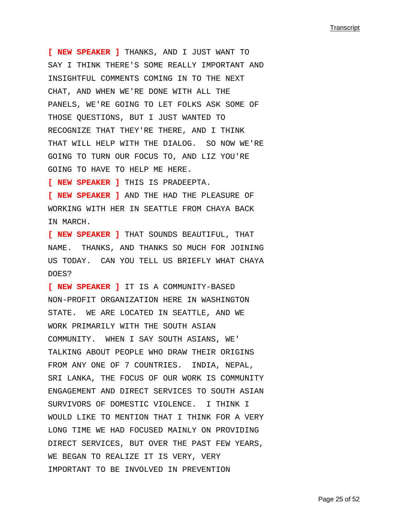**[ NEW SPEAKER ]** THANKS, AND I JUST WANT TO SAY I THINK THERE'S SOME REALLY IMPORTANT AND INSIGHTFUL COMMENTS COMING IN TO THE NEXT CHAT, AND WHEN WE'RE DONE WITH ALL THE PANELS, WE'RE GOING TO LET FOLKS ASK SOME OF THOSE QUESTIONS, BUT I JUST WANTED TO RECOGNIZE THAT THEY'RE THERE, AND I THINK THAT WILL HELP WITH THE DIALOG. SO NOW WE'RE GOING TO TURN OUR FOCUS TO, AND LIZ YOU'RE GOING TO HAVE TO HELP ME HERE.

**[ NEW SPEAKER ]** THIS IS PRADEEPTA.

**[ NEW SPEAKER ]** AND THE HAD THE PLEASURE OF WORKING WITH HER IN SEATTLE FROM CHAYA BACK IN MARCH.

**[ NEW SPEAKER ]** THAT SOUNDS BEAUTIFUL, THAT NAME. THANKS, AND THANKS SO MUCH FOR JOINING US TODAY. CAN YOU TELL US BRIEFLY WHAT CHAYA DOES?

**[ NEW SPEAKER ]** IT IS A COMMUNITY-BASED NON-PROFIT ORGANIZATION HERE IN WASHINGTON STATE. WE ARE LOCATED IN SEATTLE, AND WE WORK PRIMARILY WITH THE SOUTH ASIAN COMMUNITY. WHEN I SAY SOUTH ASIANS, WE' TALKING ABOUT PEOPLE WHO DRAW THEIR ORIGINS FROM ANY ONE OF 7 COUNTRIES. INDIA, NEPAL, SRI LANKA, THE FOCUS OF OUR WORK IS COMMUNITY ENGAGEMENT AND DIRECT SERVICES TO SOUTH ASIAN SURVIVORS OF DOMESTIC VIOLENCE. I THINK I WOULD LIKE TO MENTION THAT I THINK FOR A VERY LONG TIME WE HAD FOCUSED MAINLY ON PROVIDING DIRECT SERVICES, BUT OVER THE PAST FEW YEARS, WE BEGAN TO REALIZE IT IS VERY, VERY IMPORTANT TO BE INVOLVED IN PREVENTION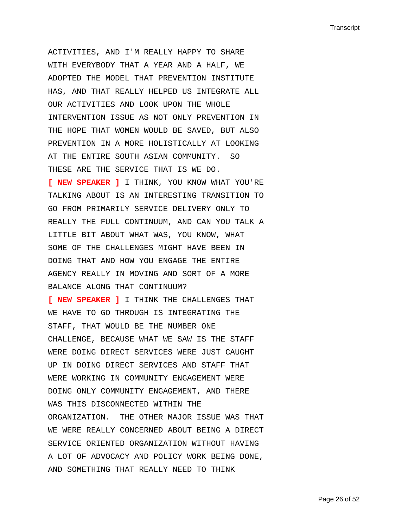ACTIVITIES, AND I'M REALLY HAPPY TO SHARE WITH EVERYBODY THAT A YEAR AND A HALF, WE ADOPTED THE MODEL THAT PREVENTION INSTITUTE HAS, AND THAT REALLY HELPED US INTEGRATE ALL OUR ACTIVITIES AND LOOK UPON THE WHOLE INTERVENTION ISSUE AS NOT ONLY PREVENTION IN THE HOPE THAT WOMEN WOULD BE SAVED, BUT ALSO PREVENTION IN A MORE HOLISTICALLY AT LOOKING AT THE ENTIRE SOUTH ASIAN COMMUNITY. SO THESE ARE THE SERVICE THAT IS WE DO. **[ NEW SPEAKER ]** I THINK, YOU KNOW WHAT YOU'RE TALKING ABOUT IS AN INTERESTING TRANSITION TO GO FROM PRIMARILY SERVICE DELIVERY ONLY TO REALLY THE FULL CONTINUUM, AND CAN YOU TALK A LITTLE BIT ABOUT WHAT WAS, YOU KNOW, WHAT SOME OF THE CHALLENGES MIGHT HAVE BEEN IN DOING THAT AND HOW YOU ENGAGE THE ENTIRE AGENCY REALLY IN MOVING AND SORT OF A MORE BALANCE ALONG THAT CONTINUUM?

**[ NEW SPEAKER ]** I THINK THE CHALLENGES THAT WE HAVE TO GO THROUGH IS INTEGRATING THE STAFF, THAT WOULD BE THE NUMBER ONE CHALLENGE, BECAUSE WHAT WE SAW IS THE STAFF WERE DOING DIRECT SERVICES WERE JUST CAUGHT UP IN DOING DIRECT SERVICES AND STAFF THAT WERE WORKING IN COMMUNITY ENGAGEMENT WERE DOING ONLY COMMUNITY ENGAGEMENT, AND THERE WAS THIS DISCONNECTED WITHIN THE ORGANIZATION. THE OTHER MAJOR ISSUE WAS THAT WE WERE REALLY CONCERNED ABOUT BEING A DIRECT SERVICE ORIENTED ORGANIZATION WITHOUT HAVING A LOT OF ADVOCACY AND POLICY WORK BEING DONE, AND SOMETHING THAT REALLY NEED TO THINK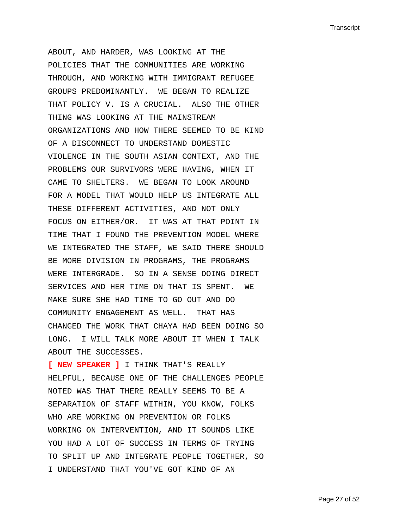ABOUT, AND HARDER, WAS LOOKING AT THE POLICIES THAT THE COMMUNITIES ARE WORKING THROUGH, AND WORKING WITH IMMIGRANT REFUGEE GROUPS PREDOMINANTLY. WE BEGAN TO REALIZE THAT POLICY V. IS A CRUCIAL. ALSO THE OTHER THING WAS LOOKING AT THE MAINSTREAM ORGANIZATIONS AND HOW THERE SEEMED TO BE KIND OF A DISCONNECT TO UNDERSTAND DOMESTIC VIOLENCE IN THE SOUTH ASIAN CONTEXT, AND THE PROBLEMS OUR SURVIVORS WERE HAVING, WHEN IT CAME TO SHELTERS. WE BEGAN TO LOOK AROUND FOR A MODEL THAT WOULD HELP US INTEGRATE ALL THESE DIFFERENT ACTIVITIES, AND NOT ONLY FOCUS ON EITHER/OR. IT WAS AT THAT POINT IN TIME THAT I FOUND THE PREVENTION MODEL WHERE WE INTEGRATED THE STAFF, WE SAID THERE SHOULD BE MORE DIVISION IN PROGRAMS, THE PROGRAMS WERE INTERGRADE. SO IN A SENSE DOING DIRECT SERVICES AND HER TIME ON THAT IS SPENT. WE MAKE SURE SHE HAD TIME TO GO OUT AND DO COMMUNITY ENGAGEMENT AS WELL. THAT HAS CHANGED THE WORK THAT CHAYA HAD BEEN DOING SO LONG. I WILL TALK MORE ABOUT IT WHEN I TALK ABOUT THE SUCCESSES.

**[ NEW SPEAKER ]** I THINK THAT'S REALLY HELPFUL, BECAUSE ONE OF THE CHALLENGES PEOPLE NOTED WAS THAT THERE REALLY SEEMS TO BE A SEPARATION OF STAFF WITHIN, YOU KNOW, FOLKS WHO ARE WORKING ON PREVENTION OR FOLKS WORKING ON INTERVENTION, AND IT SOUNDS LIKE YOU HAD A LOT OF SUCCESS IN TERMS OF TRYING TO SPLIT UP AND INTEGRATE PEOPLE TOGETHER, SO I UNDERSTAND THAT YOU'VE GOT KIND OF AN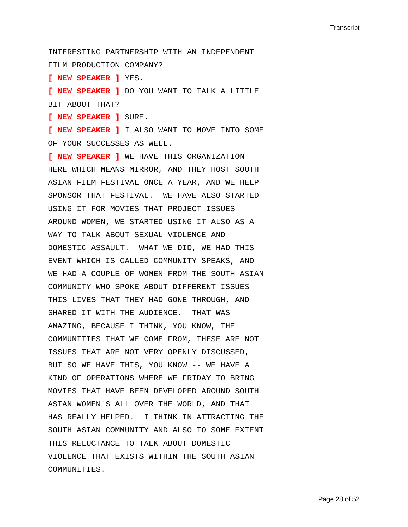INTERESTING PARTNERSHIP WITH AN INDEPENDENT FILM PRODUCTION COMPANY?

**[ NEW SPEAKER ]** YES.

**[ NEW SPEAKER ]** DO YOU WANT TO TALK A LITTLE BIT ABOUT THAT?

**[ NEW SPEAKER ]** SURE.

**[ NEW SPEAKER ]** I ALSO WANT TO MOVE INTO SOME OF YOUR SUCCESSES AS WELL.

**[ NEW SPEAKER ]** WE HAVE THIS ORGANIZATION HERE WHICH MEANS MIRROR, AND THEY HOST SOUTH ASIAN FILM FESTIVAL ONCE A YEAR, AND WE HELP SPONSOR THAT FESTIVAL. WE HAVE ALSO STARTED USING IT FOR MOVIES THAT PROJECT ISSUES AROUND WOMEN, WE STARTED USING IT ALSO AS A WAY TO TALK ABOUT SEXUAL VIOLENCE AND DOMESTIC ASSAULT. WHAT WE DID, WE HAD THIS EVENT WHICH IS CALLED COMMUNITY SPEAKS, AND WE HAD A COUPLE OF WOMEN FROM THE SOUTH ASIAN COMMUNITY WHO SPOKE ABOUT DIFFERENT ISSUES THIS LIVES THAT THEY HAD GONE THROUGH, AND SHARED IT WITH THE AUDIENCE. THAT WAS AMAZING, BECAUSE I THINK, YOU KNOW, THE COMMUNITIES THAT WE COME FROM, THESE ARE NOT ISSUES THAT ARE NOT VERY OPENLY DISCUSSED, BUT SO WE HAVE THIS, YOU KNOW -- WE HAVE A KIND OF OPERATIONS WHERE WE FRIDAY TO BRING MOVIES THAT HAVE BEEN DEVELOPED AROUND SOUTH ASIAN WOMEN'S ALL OVER THE WORLD, AND THAT HAS REALLY HELPED. I THINK IN ATTRACTING THE SOUTH ASIAN COMMUNITY AND ALSO TO SOME EXTENT THIS RELUCTANCE TO TALK ABOUT DOMESTIC VIOLENCE THAT EXISTS WITHIN THE SOUTH ASIAN COMMUNITIES.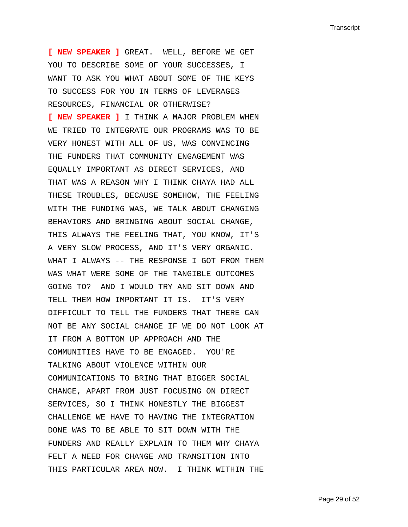**[ NEW SPEAKER ]** GREAT. WELL, BEFORE WE GET YOU TO DESCRIBE SOME OF YOUR SUCCESSES, I WANT TO ASK YOU WHAT ABOUT SOME OF THE KEYS TO SUCCESS FOR YOU IN TERMS OF LEVERAGES RESOURCES, FINANCIAL OR OTHERWISE?

**[ NEW SPEAKER ]** I THINK A MAJOR PROBLEM WHEN WE TRIED TO INTEGRATE OUR PROGRAMS WAS TO BE VERY HONEST WITH ALL OF US, WAS CONVINCING THE FUNDERS THAT COMMUNITY ENGAGEMENT WAS EQUALLY IMPORTANT AS DIRECT SERVICES, AND THAT WAS A REASON WHY I THINK CHAYA HAD ALL THESE TROUBLES, BECAUSE SOMEHOW, THE FEELING WITH THE FUNDING WAS, WE TALK ABOUT CHANGING BEHAVIORS AND BRINGING ABOUT SOCIAL CHANGE, THIS ALWAYS THE FEELING THAT, YOU KNOW, IT'S A VERY SLOW PROCESS, AND IT'S VERY ORGANIC. WHAT I ALWAYS -- THE RESPONSE I GOT FROM THEM WAS WHAT WERE SOME OF THE TANGIBLE OUTCOMES GOING TO? AND I WOULD TRY AND SIT DOWN AND TELL THEM HOW IMPORTANT IT IS. IT'S VERY DIFFICULT TO TELL THE FUNDERS THAT THERE CAN NOT BE ANY SOCIAL CHANGE IF WE DO NOT LOOK AT IT FROM A BOTTOM UP APPROACH AND THE COMMUNITIES HAVE TO BE ENGAGED. YOU'RE TALKING ABOUT VIOLENCE WITHIN OUR COMMUNICATIONS TO BRING THAT BIGGER SOCIAL CHANGE, APART FROM JUST FOCUSING ON DIRECT SERVICES, SO I THINK HONESTLY THE BIGGEST CHALLENGE WE HAVE TO HAVING THE INTEGRATION DONE WAS TO BE ABLE TO SIT DOWN WITH THE FUNDERS AND REALLY EXPLAIN TO THEM WHY CHAYA FELT A NEED FOR CHANGE AND TRANSITION INTO THIS PARTICULAR AREA NOW. I THINK WITHIN THE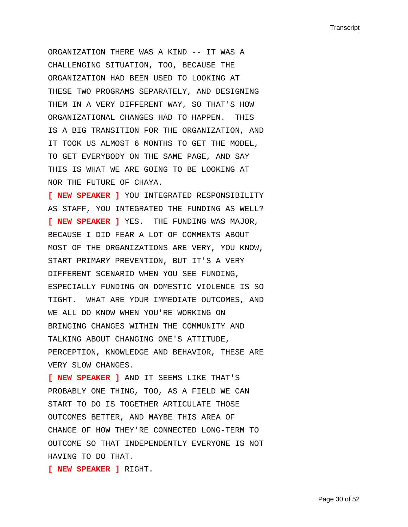ORGANIZATION THERE WAS A KIND -- IT WAS A CHALLENGING SITUATION, TOO, BECAUSE THE ORGANIZATION HAD BEEN USED TO LOOKING AT THESE TWO PROGRAMS SEPARATELY, AND DESIGNING THEM IN A VERY DIFFERENT WAY, SO THAT'S HOW ORGANIZATIONAL CHANGES HAD TO HAPPEN. THIS IS A BIG TRANSITION FOR THE ORGANIZATION, AND IT TOOK US ALMOST 6 MONTHS TO GET THE MODEL, TO GET EVERYBODY ON THE SAME PAGE, AND SAY THIS IS WHAT WE ARE GOING TO BE LOOKING AT NOR THE FUTURE OF CHAYA.

**[ NEW SPEAKER ]** YOU INTEGRATED RESPONSIBILITY AS STAFF, YOU INTEGRATED THE FUNDING AS WELL? **[ NEW SPEAKER ]** YES. THE FUNDING WAS MAJOR, BECAUSE I DID FEAR A LOT OF COMMENTS ABOUT MOST OF THE ORGANIZATIONS ARE VERY, YOU KNOW, START PRIMARY PREVENTION, BUT IT'S A VERY DIFFERENT SCENARIO WHEN YOU SEE FUNDING, ESPECIALLY FUNDING ON DOMESTIC VIOLENCE IS SO TIGHT. WHAT ARE YOUR IMMEDIATE OUTCOMES, AND WE ALL DO KNOW WHEN YOU'RE WORKING ON BRINGING CHANGES WITHIN THE COMMUNITY AND TALKING ABOUT CHANGING ONE'S ATTITUDE, PERCEPTION, KNOWLEDGE AND BEHAVIOR, THESE ARE VERY SLOW CHANGES.

**[ NEW SPEAKER ]** AND IT SEEMS LIKE THAT'S PROBABLY ONE THING, TOO, AS A FIELD WE CAN START TO DO IS TOGETHER ARTICULATE THOSE OUTCOMES BETTER, AND MAYBE THIS AREA OF CHANGE OF HOW THEY'RE CONNECTED LONG-TERM TO OUTCOME SO THAT INDEPENDENTLY EVERYONE IS NOT HAVING TO DO THAT.

**[ NEW SPEAKER ]** RIGHT.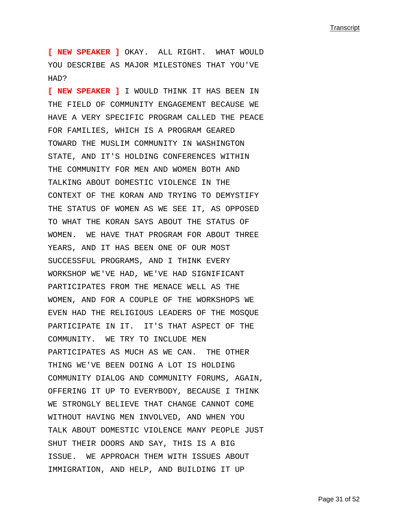**[ NEW SPEAKER ]** OKAY. ALL RIGHT. WHAT WOULD YOU DESCRIBE AS MAJOR MILESTONES THAT YOU'VE HAD?

**[ NEW SPEAKER ]** I WOULD THINK IT HAS BEEN IN THE FIELD OF COMMUNITY ENGAGEMENT BECAUSE WE HAVE A VERY SPECIFIC PROGRAM CALLED THE PEACE FOR FAMILIES, WHICH IS A PROGRAM GEARED TOWARD THE MUSLIM COMMUNITY IN WASHINGTON STATE, AND IT'S HOLDING CONFERENCES WITHIN THE COMMUNITY FOR MEN AND WOMEN BOTH AND TALKING ABOUT DOMESTIC VIOLENCE IN THE CONTEXT OF THE KORAN AND TRYING TO DEMYSTIFY THE STATUS OF WOMEN AS WE SEE IT, AS OPPOSED TO WHAT THE KORAN SAYS ABOUT THE STATUS OF WOMEN. WE HAVE THAT PROGRAM FOR ABOUT THREE YEARS, AND IT HAS BEEN ONE OF OUR MOST SUCCESSFUL PROGRAMS, AND I THINK EVERY WORKSHOP WE'VE HAD, WE'VE HAD SIGNIFICANT PARTICIPATES FROM THE MENACE WELL AS THE WOMEN, AND FOR A COUPLE OF THE WORKSHOPS WE EVEN HAD THE RELIGIOUS LEADERS OF THE MOSQUE PARTICIPATE IN IT. IT'S THAT ASPECT OF THE COMMUNITY. WE TRY TO INCLUDE MEN PARTICIPATES AS MUCH AS WE CAN. THE OTHER THING WE'VE BEEN DOING A LOT IS HOLDING COMMUNITY DIALOG AND COMMUNITY FORUMS, AGAIN, OFFERING IT UP TO EVERYBODY, BECAUSE I THINK WE STRONGLY BELIEVE THAT CHANGE CANNOT COME WITHOUT HAVING MEN INVOLVED, AND WHEN YOU TALK ABOUT DOMESTIC VIOLENCE MANY PEOPLE JUST SHUT THEIR DOORS AND SAY, THIS IS A BIG ISSUE. WE APPROACH THEM WITH ISSUES ABOUT IMMIGRATION, AND HELP, AND BUILDING IT UP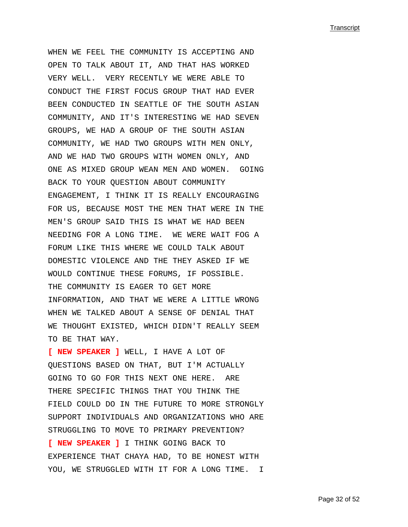WHEN WE FEEL THE COMMUNITY IS ACCEPTING AND OPEN TO TALK ABOUT IT, AND THAT HAS WORKED VERY WELL. VERY RECENTLY WE WERE ABLE TO CONDUCT THE FIRST FOCUS GROUP THAT HAD EVER BEEN CONDUCTED IN SEATTLE OF THE SOUTH ASIAN COMMUNITY, AND IT'S INTERESTING WE HAD SEVEN GROUPS, WE HAD A GROUP OF THE SOUTH ASIAN COMMUNITY, WE HAD TWO GROUPS WITH MEN ONLY, AND WE HAD TWO GROUPS WITH WOMEN ONLY, AND ONE AS MIXED GROUP WEAN MEN AND WOMEN. GOING BACK TO YOUR QUESTION ABOUT COMMUNITY ENGAGEMENT, I THINK IT IS REALLY ENCOURAGING FOR US, BECAUSE MOST THE MEN THAT WERE IN THE MEN'S GROUP SAID THIS IS WHAT WE HAD BEEN NEEDING FOR A LONG TIME. WE WERE WAIT FOG A FORUM LIKE THIS WHERE WE COULD TALK ABOUT DOMESTIC VIOLENCE AND THE THEY ASKED IF WE WOULD CONTINUE THESE FORUMS, IF POSSIBLE. THE COMMUNITY IS EAGER TO GET MORE INFORMATION, AND THAT WE WERE A LITTLE WRONG WHEN WE TALKED ABOUT A SENSE OF DENIAL THAT WE THOUGHT EXISTED, WHICH DIDN'T REALLY SEEM TO BE THAT WAY.

**[ NEW SPEAKER ]** WELL, I HAVE A LOT OF QUESTIONS BASED ON THAT, BUT I'M ACTUALLY GOING TO GO FOR THIS NEXT ONE HERE. ARE THERE SPECIFIC THINGS THAT YOU THINK THE FIELD COULD DO IN THE FUTURE TO MORE STRONGLY SUPPORT INDIVIDUALS AND ORGANIZATIONS WHO ARE STRUGGLING TO MOVE TO PRIMARY PREVENTION? **[ NEW SPEAKER ]** I THINK GOING BACK TO EXPERIENCE THAT CHAYA HAD, TO BE HONEST WITH YOU, WE STRUGGLED WITH IT FOR A LONG TIME. I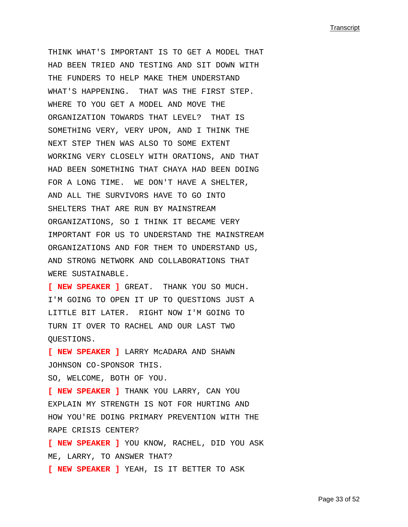THINK WHAT'S IMPORTANT IS TO GET A MODEL THAT HAD BEEN TRIED AND TESTING AND SIT DOWN WITH THE FUNDERS TO HELP MAKE THEM UNDERSTAND WHAT'S HAPPENING. THAT WAS THE FIRST STEP. WHERE TO YOU GET A MODEL AND MOVE THE ORGANIZATION TOWARDS THAT LEVEL? THAT IS SOMETHING VERY, VERY UPON, AND I THINK THE NEXT STEP THEN WAS ALSO TO SOME EXTENT WORKING VERY CLOSELY WITH ORATIONS, AND THAT HAD BEEN SOMETHING THAT CHAYA HAD BEEN DOING FOR A LONG TIME. WE DON'T HAVE A SHELTER, AND ALL THE SURVIVORS HAVE TO GO INTO SHELTERS THAT ARE RUN BY MAINSTREAM ORGANIZATIONS, SO I THINK IT BECAME VERY IMPORTANT FOR US TO UNDERSTAND THE MAINSTREAM ORGANIZATIONS AND FOR THEM TO UNDERSTAND US, AND STRONG NETWORK AND COLLABORATIONS THAT WERE SUSTAINABLE.

**[ NEW SPEAKER ]** GREAT. THANK YOU SO MUCH. I'M GOING TO OPEN IT UP TO QUESTIONS JUST A LITTLE BIT LATER. RIGHT NOW I'M GOING TO TURN IT OVER TO RACHEL AND OUR LAST TWO QUESTIONS.

**[ NEW SPEAKER ]** LARRY McADARA AND SHAWN JOHNSON CO-SPONSOR THIS. SO, WELCOME, BOTH OF YOU.

**[ NEW SPEAKER ]** THANK YOU LARRY, CAN YOU EXPLAIN MY STRENGTH IS NOT FOR HURTING AND HOW YOU'RE DOING PRIMARY PREVENTION WITH THE RAPE CRISIS CENTER? **[ NEW SPEAKER ]** YOU KNOW, RACHEL, DID YOU ASK ME, LARRY, TO ANSWER THAT? **[ NEW SPEAKER ]** YEAH, IS IT BETTER TO ASK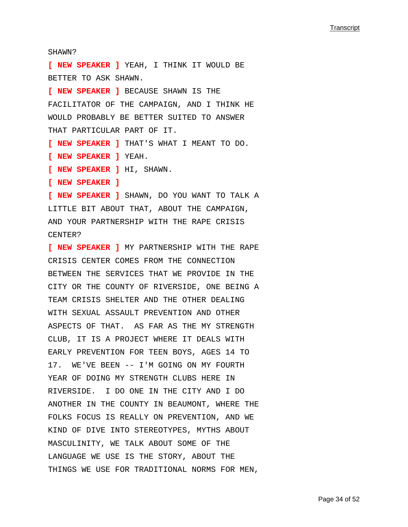SHAWN?

**[ NEW SPEAKER ]** YEAH, I THINK IT WOULD BE BETTER TO ASK SHAWN. **[ NEW SPEAKER ]** BECAUSE SHAWN IS THE FACILITATOR OF THE CAMPAIGN, AND I THINK HE WOULD PROBABLY BE BETTER SUITED TO ANSWER THAT PARTICULAR PART OF IT. **[ NEW SPEAKER ]** THAT'S WHAT I MEANT TO DO. **[ NEW SPEAKER ]** YEAH. **[ NEW SPEAKER ]** HI, SHAWN. **[ NEW SPEAKER ] [ NEW SPEAKER ]** SHAWN, DO YOU WANT TO TALK A LITTLE BIT ABOUT THAT, ABOUT THE CAMPAIGN, AND YOUR PARTNERSHIP WITH THE RAPE CRISIS CENTER? **[ NEW SPEAKER ]** MY PARTNERSHIP WITH THE RAPE CRISIS CENTER COMES FROM THE CONNECTION BETWEEN THE SERVICES THAT WE PROVIDE IN THE CITY OR THE COUNTY OF RIVERSIDE, ONE BEING A TEAM CRISIS SHELTER AND THE OTHER DEALING WITH SEXUAL ASSAULT PREVENTION AND OTHER ASPECTS OF THAT. AS FAR AS THE MY STRENGTH

CLUB, IT IS A PROJECT WHERE IT DEALS WITH EARLY PREVENTION FOR TEEN BOYS, AGES 14 TO 17. WE'VE BEEN -- I'M GOING ON MY FOURTH YEAR OF DOING MY STRENGTH CLUBS HERE IN RIVERSIDE. I DO ONE IN THE CITY AND I DO ANOTHER IN THE COUNTY IN BEAUMONT, WHERE THE FOLKS FOCUS IS REALLY ON PREVENTION, AND WE KIND OF DIVE INTO STEREOTYPES, MYTHS ABOUT MASCULINITY, WE TALK ABOUT SOME OF THE LANGUAGE WE USE IS THE STORY, ABOUT THE THINGS WE USE FOR TRADITIONAL NORMS FOR MEN,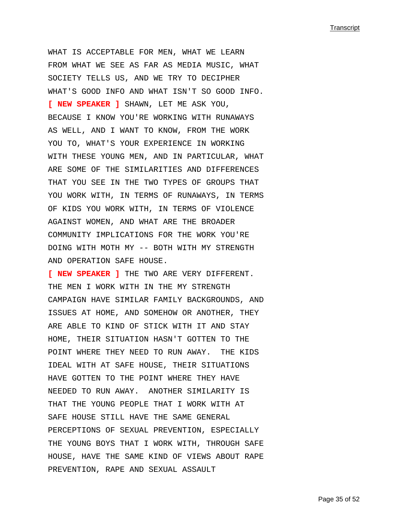WHAT IS ACCEPTABLE FOR MEN, WHAT WE LEARN FROM WHAT WE SEE AS FAR AS MEDIA MUSIC, WHAT SOCIETY TELLS US, AND WE TRY TO DECIPHER WHAT'S GOOD INFO AND WHAT ISN'T SO GOOD INFO. **[ NEW SPEAKER ]** SHAWN, LET ME ASK YOU, BECAUSE I KNOW YOU'RE WORKING WITH RUNAWAYS AS WELL, AND I WANT TO KNOW, FROM THE WORK YOU TO, WHAT'S YOUR EXPERIENCE IN WORKING WITH THESE YOUNG MEN, AND IN PARTICULAR, WHAT ARE SOME OF THE SIMILARITIES AND DIFFERENCES THAT YOU SEE IN THE TWO TYPES OF GROUPS THAT YOU WORK WITH, IN TERMS OF RUNAWAYS, IN TERMS OF KIDS YOU WORK WITH, IN TERMS OF VIOLENCE AGAINST WOMEN, AND WHAT ARE THE BROADER COMMUNITY IMPLICATIONS FOR THE WORK YOU'RE DOING WITH MOTH MY -- BOTH WITH MY STRENGTH AND OPERATION SAFE HOUSE.

**[ NEW SPEAKER ]** THE TWO ARE VERY DIFFERENT. THE MEN I WORK WITH IN THE MY STRENGTH CAMPAIGN HAVE SIMILAR FAMILY BACKGROUNDS, AND ISSUES AT HOME, AND SOMEHOW OR ANOTHER, THEY ARE ABLE TO KIND OF STICK WITH IT AND STAY HOME, THEIR SITUATION HASN'T GOTTEN TO THE POINT WHERE THEY NEED TO RUN AWAY. THE KIDS IDEAL WITH AT SAFE HOUSE, THEIR SITUATIONS HAVE GOTTEN TO THE POINT WHERE THEY HAVE NEEDED TO RUN AWAY. ANOTHER SIMILARITY IS THAT THE YOUNG PEOPLE THAT I WORK WITH AT SAFE HOUSE STILL HAVE THE SAME GENERAL PERCEPTIONS OF SEXUAL PREVENTION, ESPECIALLY THE YOUNG BOYS THAT I WORK WITH, THROUGH SAFE HOUSE, HAVE THE SAME KIND OF VIEWS ABOUT RAPE PREVENTION, RAPE AND SEXUAL ASSAULT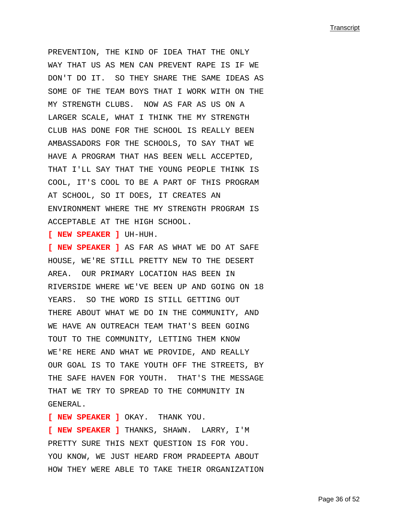PREVENTION, THE KIND OF IDEA THAT THE ONLY WAY THAT US AS MEN CAN PREVENT RAPE IS IF WE DON'T DO IT. SO THEY SHARE THE SAME IDEAS AS SOME OF THE TEAM BOYS THAT I WORK WITH ON THE MY STRENGTH CLUBS. NOW AS FAR AS US ON A LARGER SCALE, WHAT I THINK THE MY STRENGTH CLUB HAS DONE FOR THE SCHOOL IS REALLY BEEN AMBASSADORS FOR THE SCHOOLS, TO SAY THAT WE HAVE A PROGRAM THAT HAS BEEN WELL ACCEPTED, THAT I'LL SAY THAT THE YOUNG PEOPLE THINK IS COOL, IT'S COOL TO BE A PART OF THIS PROGRAM AT SCHOOL, SO IT DOES, IT CREATES AN ENVIRONMENT WHERE THE MY STRENGTH PROGRAM IS ACCEPTABLE AT THE HIGH SCHOOL.

**[ NEW SPEAKER ]** UH-HUH.

**[ NEW SPEAKER ]** AS FAR AS WHAT WE DO AT SAFE HOUSE, WE'RE STILL PRETTY NEW TO THE DESERT AREA. OUR PRIMARY LOCATION HAS BEEN IN RIVERSIDE WHERE WE'VE BEEN UP AND GOING ON 18 YEARS. SO THE WORD IS STILL GETTING OUT THERE ABOUT WHAT WE DO IN THE COMMUNITY, AND WE HAVE AN OUTREACH TEAM THAT'S BEEN GOING TOUT TO THE COMMUNITY, LETTING THEM KNOW WE'RE HERE AND WHAT WE PROVIDE, AND REALLY OUR GOAL IS TO TAKE YOUTH OFF THE STREETS, BY THE SAFE HAVEN FOR YOUTH. THAT'S THE MESSAGE THAT WE TRY TO SPREAD TO THE COMMUNITY IN GENERAL.

**[ NEW SPEAKER ]** OKAY. THANK YOU.

**[ NEW SPEAKER ]** THANKS, SHAWN. LARRY, I'M PRETTY SURE THIS NEXT QUESTION IS FOR YOU. YOU KNOW, WE JUST HEARD FROM PRADEEPTA ABOUT HOW THEY WERE ABLE TO TAKE THEIR ORGANIZATION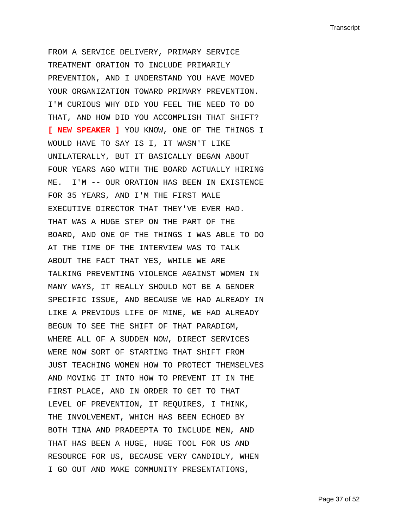FROM A SERVICE DELIVERY, PRIMARY SERVICE TREATMENT ORATION TO INCLUDE PRIMARILY PREVENTION, AND I UNDERSTAND YOU HAVE MOVED YOUR ORGANIZATION TOWARD PRIMARY PREVENTION. I'M CURIOUS WHY DID YOU FEEL THE NEED TO DO THAT, AND HOW DID YOU ACCOMPLISH THAT SHIFT? **[ NEW SPEAKER ]** YOU KNOW, ONE OF THE THINGS I WOULD HAVE TO SAY IS I, IT WASN'T LIKE UNILATERALLY, BUT IT BASICALLY BEGAN ABOUT FOUR YEARS AGO WITH THE BOARD ACTUALLY HIRING ME. I'M -- OUR ORATION HAS BEEN IN EXISTENCE FOR 35 YEARS, AND I'M THE FIRST MALE EXECUTIVE DIRECTOR THAT THEY'VE EVER HAD. THAT WAS A HUGE STEP ON THE PART OF THE BOARD, AND ONE OF THE THINGS I WAS ABLE TO DO AT THE TIME OF THE INTERVIEW WAS TO TALK ABOUT THE FACT THAT YES, WHILE WE ARE TALKING PREVENTING VIOLENCE AGAINST WOMEN IN MANY WAYS, IT REALLY SHOULD NOT BE A GENDER SPECIFIC ISSUE, AND BECAUSE WE HAD ALREADY IN LIKE A PREVIOUS LIFE OF MINE, WE HAD ALREADY BEGUN TO SEE THE SHIFT OF THAT PARADIGM, WHERE ALL OF A SUDDEN NOW, DIRECT SERVICES WERE NOW SORT OF STARTING THAT SHIFT FROM JUST TEACHING WOMEN HOW TO PROTECT THEMSELVES AND MOVING IT INTO HOW TO PREVENT IT IN THE FIRST PLACE, AND IN ORDER TO GET TO THAT LEVEL OF PREVENTION, IT REQUIRES, I THINK, THE INVOLVEMENT, WHICH HAS BEEN ECHOED BY BOTH TINA AND PRADEEPTA TO INCLUDE MEN, AND THAT HAS BEEN A HUGE, HUGE TOOL FOR US AND RESOURCE FOR US, BECAUSE VERY CANDIDLY, WHEN I GO OUT AND MAKE COMMUNITY PRESENTATIONS,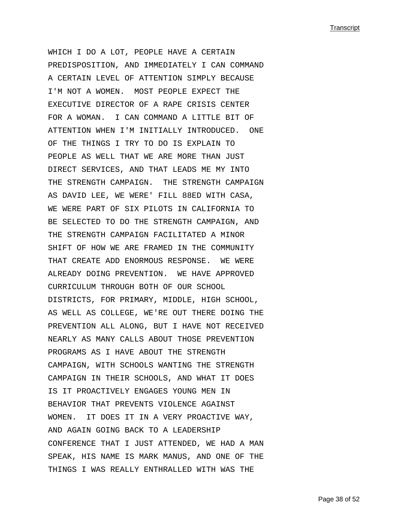WHICH I DO A LOT, PEOPLE HAVE A CERTAIN PREDISPOSITION, AND IMMEDIATELY I CAN COMMAND A CERTAIN LEVEL OF ATTENTION SIMPLY BECAUSE I'M NOT A WOMEN. MOST PEOPLE EXPECT THE EXECUTIVE DIRECTOR OF A RAPE CRISIS CENTER FOR A WOMAN. I CAN COMMAND A LITTLE BIT OF ATTENTION WHEN I'M INITIALLY INTRODUCED. ONE OF THE THINGS I TRY TO DO IS EXPLAIN TO PEOPLE AS WELL THAT WE ARE MORE THAN JUST DIRECT SERVICES, AND THAT LEADS ME MY INTO THE STRENGTH CAMPAIGN. THE STRENGTH CAMPAIGN AS DAVID LEE, WE WERE' FILL 88ED WITH CASA, WE WERE PART OF SIX PILOTS IN CALIFORNIA TO BE SELECTED TO DO THE STRENGTH CAMPAIGN, AND THE STRENGTH CAMPAIGN FACILITATED A MINOR SHIFT OF HOW WE ARE FRAMED IN THE COMMUNITY THAT CREATE ADD ENORMOUS RESPONSE. WE WERE ALREADY DOING PREVENTION. WE HAVE APPROVED CURRICULUM THROUGH BOTH OF OUR SCHOOL DISTRICTS, FOR PRIMARY, MIDDLE, HIGH SCHOOL, AS WELL AS COLLEGE, WE'RE OUT THERE DOING THE PREVENTION ALL ALONG, BUT I HAVE NOT RECEIVED NEARLY AS MANY CALLS ABOUT THOSE PREVENTION PROGRAMS AS I HAVE ABOUT THE STRENGTH CAMPAIGN, WITH SCHOOLS WANTING THE STRENGTH CAMPAIGN IN THEIR SCHOOLS, AND WHAT IT DOES IS IT PROACTIVELY ENGAGES YOUNG MEN IN BEHAVIOR THAT PREVENTS VIOLENCE AGAINST WOMEN. IT DOES IT IN A VERY PROACTIVE WAY, AND AGAIN GOING BACK TO A LEADERSHIP CONFERENCE THAT I JUST ATTENDED, WE HAD A MAN SPEAK, HIS NAME IS MARK MANUS, AND ONE OF THE THINGS I WAS REALLY ENTHRALLED WITH WAS THE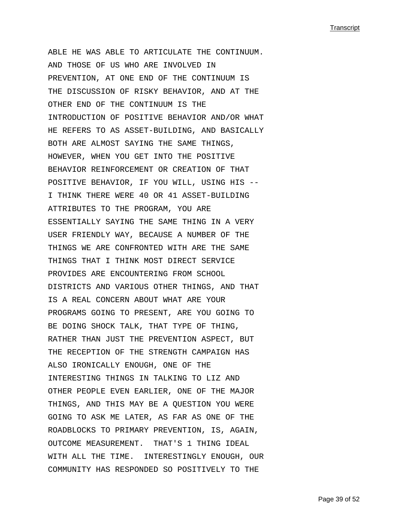ABLE HE WAS ABLE TO ARTICULATE THE CONTINUUM. AND THOSE OF US WHO ARE INVOLVED IN PREVENTION, AT ONE END OF THE CONTINUUM IS THE DISCUSSION OF RISKY BEHAVIOR, AND AT THE OTHER END OF THE CONTINUUM IS THE INTRODUCTION OF POSITIVE BEHAVIOR AND/OR WHAT HE REFERS TO AS ASSET-BUILDING, AND BASICALLY BOTH ARE ALMOST SAYING THE SAME THINGS, HOWEVER, WHEN YOU GET INTO THE POSITIVE BEHAVIOR REINFORCEMENT OR CREATION OF THAT POSITIVE BEHAVIOR, IF YOU WILL, USING HIS -- I THINK THERE WERE 40 OR 41 ASSET-BUILDING ATTRIBUTES TO THE PROGRAM, YOU ARE ESSENTIALLY SAYING THE SAME THING IN A VERY USER FRIENDLY WAY, BECAUSE A NUMBER OF THE THINGS WE ARE CONFRONTED WITH ARE THE SAME THINGS THAT I THINK MOST DIRECT SERVICE PROVIDES ARE ENCOUNTERING FROM SCHOOL DISTRICTS AND VARIOUS OTHER THINGS, AND THAT IS A REAL CONCERN ABOUT WHAT ARE YOUR PROGRAMS GOING TO PRESENT, ARE YOU GOING TO BE DOING SHOCK TALK, THAT TYPE OF THING, RATHER THAN JUST THE PREVENTION ASPECT, BUT THE RECEPTION OF THE STRENGTH CAMPAIGN HAS ALSO IRONICALLY ENOUGH, ONE OF THE INTERESTING THINGS IN TALKING TO LIZ AND OTHER PEOPLE EVEN EARLIER, ONE OF THE MAJOR THINGS, AND THIS MAY BE A QUESTION YOU WERE GOING TO ASK ME LATER, AS FAR AS ONE OF THE ROADBLOCKS TO PRIMARY PREVENTION, IS, AGAIN, OUTCOME MEASUREMENT. THAT'S 1 THING IDEAL WITH ALL THE TIME. INTERESTINGLY ENOUGH, OUR COMMUNITY HAS RESPONDED SO POSITIVELY TO THE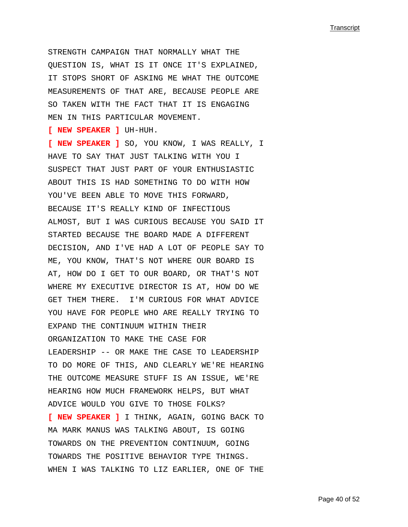STRENGTH CAMPAIGN THAT NORMALLY WHAT THE QUESTION IS, WHAT IS IT ONCE IT'S EXPLAINED, IT STOPS SHORT OF ASKING ME WHAT THE OUTCOME MEASUREMENTS OF THAT ARE, BECAUSE PEOPLE ARE SO TAKEN WITH THE FACT THAT IT IS ENGAGING MEN IN THIS PARTICULAR MOVEMENT.

**[ NEW SPEAKER ]** UH-HUH.

**[ NEW SPEAKER ]** SO, YOU KNOW, I WAS REALLY, I HAVE TO SAY THAT JUST TALKING WITH YOU I SUSPECT THAT JUST PART OF YOUR ENTHUSIASTIC ABOUT THIS IS HAD SOMETHING TO DO WITH HOW YOU'VE BEEN ABLE TO MOVE THIS FORWARD, BECAUSE IT'S REALLY KIND OF INFECTIOUS ALMOST, BUT I WAS CURIOUS BECAUSE YOU SAID IT STARTED BECAUSE THE BOARD MADE A DIFFERENT DECISION, AND I'VE HAD A LOT OF PEOPLE SAY TO ME, YOU KNOW, THAT'S NOT WHERE OUR BOARD IS AT, HOW DO I GET TO OUR BOARD, OR THAT'S NOT WHERE MY EXECUTIVE DIRECTOR IS AT, HOW DO WE GET THEM THERE. I'M CURIOUS FOR WHAT ADVICE YOU HAVE FOR PEOPLE WHO ARE REALLY TRYING TO EXPAND THE CONTINUUM WITHIN THEIR ORGANIZATION TO MAKE THE CASE FOR LEADERSHIP -- OR MAKE THE CASE TO LEADERSHIP TO DO MORE OF THIS, AND CLEARLY WE'RE HEARING THE OUTCOME MEASURE STUFF IS AN ISSUE, WE'RE HEARING HOW MUCH FRAMEWORK HELPS, BUT WHAT ADVICE WOULD YOU GIVE TO THOSE FOLKS? **[ NEW SPEAKER ]** I THINK, AGAIN, GOING BACK TO MA MARK MANUS WAS TALKING ABOUT, IS GOING TOWARDS ON THE PREVENTION CONTINUUM, GOING TOWARDS THE POSITIVE BEHAVIOR TYPE THINGS. WHEN I WAS TALKING TO LIZ EARLIER, ONE OF THE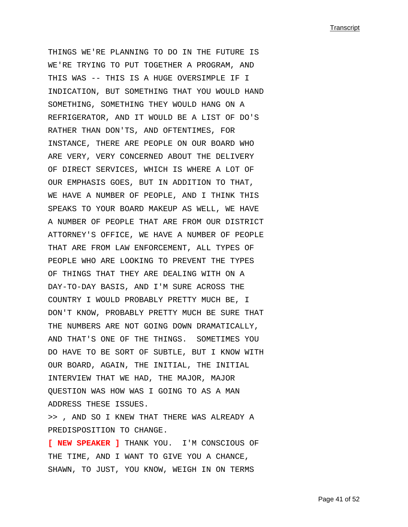THINGS WE'RE PLANNING TO DO IN THE FUTURE IS WE'RE TRYING TO PUT TOGETHER A PROGRAM, AND THIS WAS -- THIS IS A HUGE OVERSIMPLE IF I INDICATION, BUT SOMETHING THAT YOU WOULD HAND SOMETHING, SOMETHING THEY WOULD HANG ON A REFRIGERATOR, AND IT WOULD BE A LIST OF DO'S RATHER THAN DON'TS, AND OFTENTIMES, FOR INSTANCE, THERE ARE PEOPLE ON OUR BOARD WHO ARE VERY, VERY CONCERNED ABOUT THE DELIVERY OF DIRECT SERVICES, WHICH IS WHERE A LOT OF OUR EMPHASIS GOES, BUT IN ADDITION TO THAT, WE HAVE A NUMBER OF PEOPLE, AND I THINK THIS SPEAKS TO YOUR BOARD MAKEUP AS WELL, WE HAVE A NUMBER OF PEOPLE THAT ARE FROM OUR DISTRICT ATTORNEY'S OFFICE, WE HAVE A NUMBER OF PEOPLE THAT ARE FROM LAW ENFORCEMENT, ALL TYPES OF PEOPLE WHO ARE LOOKING TO PREVENT THE TYPES OF THINGS THAT THEY ARE DEALING WITH ON A DAY-TO-DAY BASIS, AND I'M SURE ACROSS THE COUNTRY I WOULD PROBABLY PRETTY MUCH BE, I DON'T KNOW, PROBABLY PRETTY MUCH BE SURE THAT THE NUMBERS ARE NOT GOING DOWN DRAMATICALLY, AND THAT'S ONE OF THE THINGS. SOMETIMES YOU DO HAVE TO BE SORT OF SUBTLE, BUT I KNOW WITH OUR BOARD, AGAIN, THE INITIAL, THE INITIAL INTERVIEW THAT WE HAD, THE MAJOR, MAJOR QUESTION WAS HOW WAS I GOING TO AS A MAN ADDRESS THESE ISSUES.

>> , AND SO I KNEW THAT THERE WAS ALREADY A PREDISPOSITION TO CHANGE.

**[ NEW SPEAKER ]** THANK YOU. I'M CONSCIOUS OF THE TIME, AND I WANT TO GIVE YOU A CHANCE, SHAWN, TO JUST, YOU KNOW, WEIGH IN ON TERMS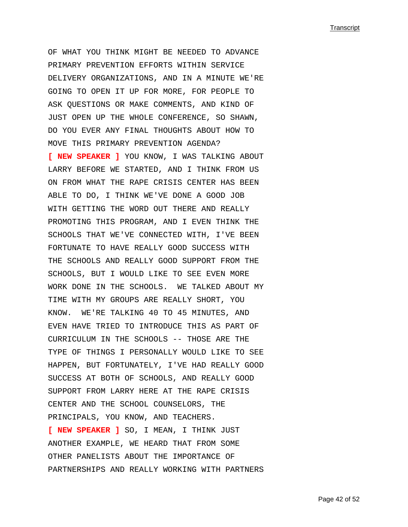OF WHAT YOU THINK MIGHT BE NEEDED TO ADVANCE PRIMARY PREVENTION EFFORTS WITHIN SERVICE DELIVERY ORGANIZATIONS, AND IN A MINUTE WE'RE GOING TO OPEN IT UP FOR MORE, FOR PEOPLE TO ASK QUESTIONS OR MAKE COMMENTS, AND KIND OF JUST OPEN UP THE WHOLE CONFERENCE, SO SHAWN, DO YOU EVER ANY FINAL THOUGHTS ABOUT HOW TO MOVE THIS PRIMARY PREVENTION AGENDA? **[ NEW SPEAKER ]** YOU KNOW, I WAS TALKING ABOUT LARRY BEFORE WE STARTED, AND I THINK FROM US ON FROM WHAT THE RAPE CRISIS CENTER HAS BEEN ABLE TO DO, I THINK WE'VE DONE A GOOD JOB WITH GETTING THE WORD OUT THERE AND REALLY PROMOTING THIS PROGRAM, AND I EVEN THINK THE SCHOOLS THAT WE'VE CONNECTED WITH, I'VE BEEN FORTUNATE TO HAVE REALLY GOOD SUCCESS WITH THE SCHOOLS AND REALLY GOOD SUPPORT FROM THE SCHOOLS, BUT I WOULD LIKE TO SEE EVEN MORE WORK DONE IN THE SCHOOLS. WE TALKED ABOUT MY TIME WITH MY GROUPS ARE REALLY SHORT, YOU KNOW. WE'RE TALKING 40 TO 45 MINUTES, AND EVEN HAVE TRIED TO INTRODUCE THIS AS PART OF CURRICULUM IN THE SCHOOLS -- THOSE ARE THE TYPE OF THINGS I PERSONALLY WOULD LIKE TO SEE HAPPEN, BUT FORTUNATELY, I'VE HAD REALLY GOOD SUCCESS AT BOTH OF SCHOOLS, AND REALLY GOOD SUPPORT FROM LARRY HERE AT THE RAPE CRISIS CENTER AND THE SCHOOL COUNSELORS, THE PRINCIPALS, YOU KNOW, AND TEACHERS.

**[ NEW SPEAKER ]** SO, I MEAN, I THINK JUST ANOTHER EXAMPLE, WE HEARD THAT FROM SOME OTHER PANELISTS ABOUT THE IMPORTANCE OF PARTNERSHIPS AND REALLY WORKING WITH PARTNERS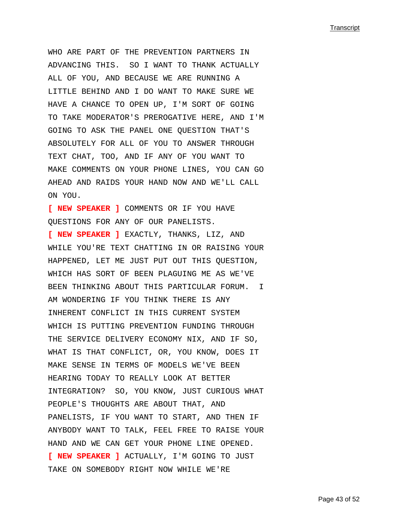WHO ARE PART OF THE PREVENTION PARTNERS IN ADVANCING THIS. SO I WANT TO THANK ACTUALLY ALL OF YOU, AND BECAUSE WE ARE RUNNING A LITTLE BEHIND AND I DO WANT TO MAKE SURE WE HAVE A CHANCE TO OPEN UP, I'M SORT OF GOING TO TAKE MODERATOR'S PREROGATIVE HERE, AND I'M GOING TO ASK THE PANEL ONE QUESTION THAT'S ABSOLUTELY FOR ALL OF YOU TO ANSWER THROUGH TEXT CHAT, TOO, AND IF ANY OF YOU WANT TO MAKE COMMENTS ON YOUR PHONE LINES, YOU CAN GO AHEAD AND RAIDS YOUR HAND NOW AND WE'LL CALL ON YOU.

**[ NEW SPEAKER ]** COMMENTS OR IF YOU HAVE QUESTIONS FOR ANY OF OUR PANELISTS.

**[ NEW SPEAKER ]** EXACTLY, THANKS, LIZ, AND WHILE YOU'RE TEXT CHATTING IN OR RAISING YOUR HAPPENED, LET ME JUST PUT OUT THIS QUESTION, WHICH HAS SORT OF BEEN PLAGUING ME AS WE'VE BEEN THINKING ABOUT THIS PARTICULAR FORUM. I AM WONDERING IF YOU THINK THERE IS ANY INHERENT CONFLICT IN THIS CURRENT SYSTEM WHICH IS PUTTING PREVENTION FUNDING THROUGH THE SERVICE DELIVERY ECONOMY NIX, AND IF SO, WHAT IS THAT CONFLICT, OR, YOU KNOW, DOES IT MAKE SENSE IN TERMS OF MODELS WE'VE BEEN HEARING TODAY TO REALLY LOOK AT BETTER INTEGRATION? SO, YOU KNOW, JUST CURIOUS WHAT PEOPLE'S THOUGHTS ARE ABOUT THAT, AND PANELISTS, IF YOU WANT TO START, AND THEN IF ANYBODY WANT TO TALK, FEEL FREE TO RAISE YOUR HAND AND WE CAN GET YOUR PHONE LINE OPENED. **[ NEW SPEAKER ]** ACTUALLY, I'M GOING TO JUST TAKE ON SOMEBODY RIGHT NOW WHILE WE'RE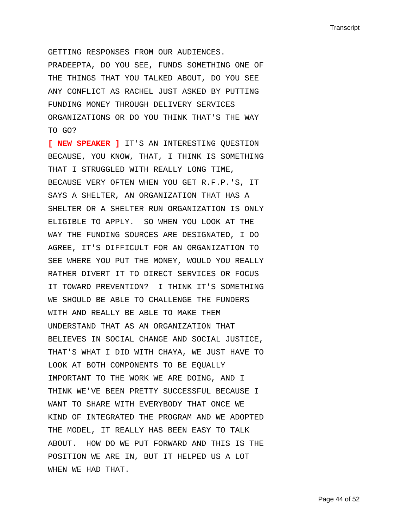GETTING RESPONSES FROM OUR AUDIENCES. PRADEEPTA, DO YOU SEE, FUNDS SOMETHING ONE OF THE THINGS THAT YOU TALKED ABOUT, DO YOU SEE ANY CONFLICT AS RACHEL JUST ASKED BY PUTTING FUNDING MONEY THROUGH DELIVERY SERVICES ORGANIZATIONS OR DO YOU THINK THAT'S THE WAY TO GO?

**[ NEW SPEAKER ]** IT'S AN INTERESTING QUESTION BECAUSE, YOU KNOW, THAT, I THINK IS SOMETHING THAT I STRUGGLED WITH REALLY LONG TIME, BECAUSE VERY OFTEN WHEN YOU GET R.F.P.'S, IT SAYS A SHELTER, AN ORGANIZATION THAT HAS A SHELTER OR A SHELTER RUN ORGANIZATION IS ONLY ELIGIBLE TO APPLY. SO WHEN YOU LOOK AT THE WAY THE FUNDING SOURCES ARE DESIGNATED, I DO AGREE, IT'S DIFFICULT FOR AN ORGANIZATION TO SEE WHERE YOU PUT THE MONEY, WOULD YOU REALLY RATHER DIVERT IT TO DIRECT SERVICES OR FOCUS IT TOWARD PREVENTION? I THINK IT'S SOMETHING WE SHOULD BE ABLE TO CHALLENGE THE FUNDERS WITH AND REALLY BE ABLE TO MAKE THEM UNDERSTAND THAT AS AN ORGANIZATION THAT BELIEVES IN SOCIAL CHANGE AND SOCIAL JUSTICE, THAT'S WHAT I DID WITH CHAYA, WE JUST HAVE TO LOOK AT BOTH COMPONENTS TO BE EQUALLY IMPORTANT TO THE WORK WE ARE DOING, AND I THINK WE'VE BEEN PRETTY SUCCESSFUL BECAUSE I WANT TO SHARE WITH EVERYBODY THAT ONCE WE KIND OF INTEGRATED THE PROGRAM AND WE ADOPTED THE MODEL, IT REALLY HAS BEEN EASY TO TALK ABOUT. HOW DO WE PUT FORWARD AND THIS IS THE POSITION WE ARE IN, BUT IT HELPED US A LOT WHEN WE HAD THAT.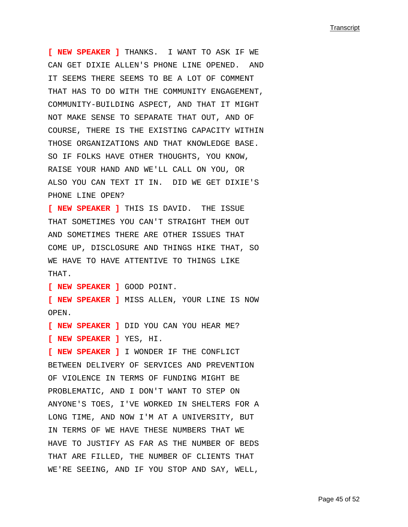**[ NEW SPEAKER ]** THANKS. I WANT TO ASK IF WE CAN GET DIXIE ALLEN'S PHONE LINE OPENED. AND IT SEEMS THERE SEEMS TO BE A LOT OF COMMENT THAT HAS TO DO WITH THE COMMUNITY ENGAGEMENT, COMMUNITY-BUILDING ASPECT, AND THAT IT MIGHT NOT MAKE SENSE TO SEPARATE THAT OUT, AND OF COURSE, THERE IS THE EXISTING CAPACITY WITHIN THOSE ORGANIZATIONS AND THAT KNOWLEDGE BASE. SO IF FOLKS HAVE OTHER THOUGHTS, YOU KNOW, RAISE YOUR HAND AND WE'LL CALL ON YOU, OR ALSO YOU CAN TEXT IT IN. DID WE GET DIXIE'S PHONE LINE OPEN?

**[ NEW SPEAKER ]** THIS IS DAVID. THE ISSUE THAT SOMETIMES YOU CAN'T STRAIGHT THEM OUT AND SOMETIMES THERE ARE OTHER ISSUES THAT COME UP, DISCLOSURE AND THINGS HIKE THAT, SO WE HAVE TO HAVE ATTENTIVE TO THINGS LIKE THAT.

**[ NEW SPEAKER ]** GOOD POINT.

**[ NEW SPEAKER ]** MISS ALLEN, YOUR LINE IS NOW OPEN.

**[ NEW SPEAKER ]** DID YOU CAN YOU HEAR ME?

**[ NEW SPEAKER ]** YES, HI.

**[ NEW SPEAKER ]** I WONDER IF THE CONFLICT BETWEEN DELIVERY OF SERVICES AND PREVENTION OF VIOLENCE IN TERMS OF FUNDING MIGHT BE PROBLEMATIC, AND I DON'T WANT TO STEP ON ANYONE'S TOES, I'VE WORKED IN SHELTERS FOR A LONG TIME, AND NOW I'M AT A UNIVERSITY, BUT IN TERMS OF WE HAVE THESE NUMBERS THAT WE HAVE TO JUSTIFY AS FAR AS THE NUMBER OF BEDS THAT ARE FILLED, THE NUMBER OF CLIENTS THAT WE'RE SEEING, AND IF YOU STOP AND SAY, WELL,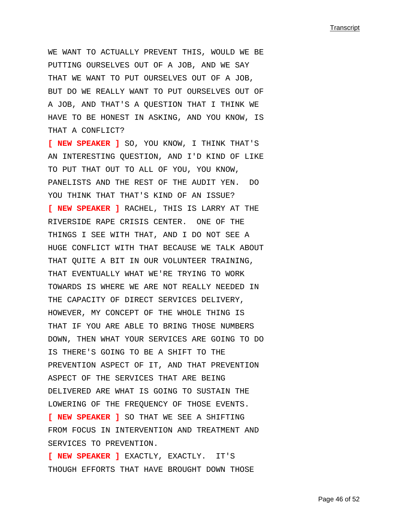WE WANT TO ACTUALLY PREVENT THIS, WOULD WE BE PUTTING OURSELVES OUT OF A JOB, AND WE SAY THAT WE WANT TO PUT OURSELVES OUT OF A JOB, BUT DO WE REALLY WANT TO PUT OURSELVES OUT OF A JOB, AND THAT'S A QUESTION THAT I THINK WE HAVE TO BE HONEST IN ASKING, AND YOU KNOW, IS THAT A CONFLICT?

**[ NEW SPEAKER ]** SO, YOU KNOW, I THINK THAT'S AN INTERESTING QUESTION, AND I'D KIND OF LIKE TO PUT THAT OUT TO ALL OF YOU, YOU KNOW, PANELISTS AND THE REST OF THE AUDIT YEN. DO YOU THINK THAT THAT'S KIND OF AN ISSUE? **[ NEW SPEAKER ]** RACHEL, THIS IS LARRY AT THE RIVERSIDE RAPE CRISIS CENTER. ONE OF THE THINGS I SEE WITH THAT, AND I DO NOT SEE A HUGE CONFLICT WITH THAT BECAUSE WE TALK ABOUT THAT QUITE A BIT IN OUR VOLUNTEER TRAINING, THAT EVENTUALLY WHAT WE'RE TRYING TO WORK TOWARDS IS WHERE WE ARE NOT REALLY NEEDED IN THE CAPACITY OF DIRECT SERVICES DELIVERY, HOWEVER, MY CONCEPT OF THE WHOLE THING IS THAT IF YOU ARE ABLE TO BRING THOSE NUMBERS DOWN, THEN WHAT YOUR SERVICES ARE GOING TO DO IS THERE'S GOING TO BE A SHIFT TO THE PREVENTION ASPECT OF IT, AND THAT PREVENTION ASPECT OF THE SERVICES THAT ARE BEING DELIVERED ARE WHAT IS GOING TO SUSTAIN THE LOWERING OF THE FREQUENCY OF THOSE EVENTS. **[ NEW SPEAKER ]** SO THAT WE SEE A SHIFTING FROM FOCUS IN INTERVENTION AND TREATMENT AND SERVICES TO PREVENTION. **[ NEW SPEAKER ]** EXACTLY, EXACTLY. IT'S

THOUGH EFFORTS THAT HAVE BROUGHT DOWN THOSE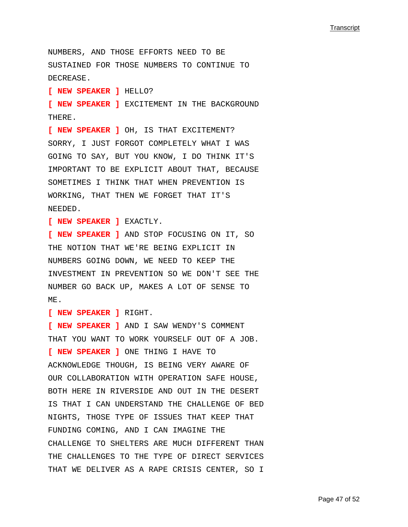NUMBERS, AND THOSE EFFORTS NEED TO BE SUSTAINED FOR THOSE NUMBERS TO CONTINUE TO DECREASE. **[ NEW SPEAKER ]** HELLO? **[ NEW SPEAKER ]** EXCITEMENT IN THE BACKGROUND THERE. **[ NEW SPEAKER ]** OH, IS THAT EXCITEMENT? SORRY, I JUST FORGOT COMPLETELY WHAT I WAS GOING TO SAY, BUT YOU KNOW, I DO THINK IT'S IMPORTANT TO BE EXPLICIT ABOUT THAT, BECAUSE SOMETIMES I THINK THAT WHEN PREVENTION IS WORKING, THAT THEN WE FORGET THAT IT'S NEEDED. **[ NEW SPEAKER ]** EXACTLY. **[ NEW SPEAKER ]** AND STOP FOCUSING ON IT, SO THE NOTION THAT WE'RE BEING EXPLICIT IN NUMBERS GOING DOWN, WE NEED TO KEEP THE INVESTMENT IN PREVENTION SO WE DON'T SEE THE NUMBER GO BACK UP, MAKES A LOT OF SENSE TO ME. **[ NEW SPEAKER ]** RIGHT. **[ NEW SPEAKER ]** AND I SAW WENDY'S COMMENT THAT YOU WANT TO WORK YOURSELF OUT OF A JOB. **[ NEW SPEAKER ]** ONE THING I HAVE TO ACKNOWLEDGE THOUGH, IS BEING VERY AWARE OF OUR COLLABORATION WITH OPERATION SAFE HOUSE, BOTH HERE IN RIVERSIDE AND OUT IN THE DESERT IS THAT I CAN UNDERSTAND THE CHALLENGE OF BED NIGHTS, THOSE TYPE OF ISSUES THAT KEEP THAT FUNDING COMING, AND I CAN IMAGINE THE CHALLENGE TO SHELTERS ARE MUCH DIFFERENT THAN THE CHALLENGES TO THE TYPE OF DIRECT SERVICES THAT WE DELIVER AS A RAPE CRISIS CENTER, SO I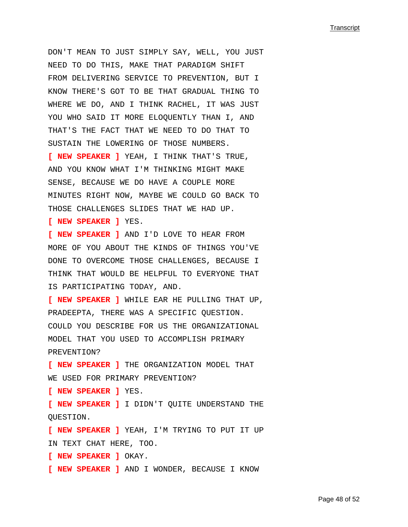DON'T MEAN TO JUST SIMPLY SAY, WELL, YOU JUST NEED TO DO THIS, MAKE THAT PARADIGM SHIFT FROM DELIVERING SERVICE TO PREVENTION, BUT I KNOW THERE'S GOT TO BE THAT GRADUAL THING TO WHERE WE DO, AND I THINK RACHEL, IT WAS JUST YOU WHO SAID IT MORE ELOQUENTLY THAN I, AND THAT'S THE FACT THAT WE NEED TO DO THAT TO SUSTAIN THE LOWERING OF THOSE NUMBERS.

**[ NEW SPEAKER ]** YEAH, I THINK THAT'S TRUE, AND YOU KNOW WHAT I'M THINKING MIGHT MAKE SENSE, BECAUSE WE DO HAVE A COUPLE MORE MINUTES RIGHT NOW, MAYBE WE COULD GO BACK TO THOSE CHALLENGES SLIDES THAT WE HAD UP.

**[ NEW SPEAKER ]** YES.

**[ NEW SPEAKER ]** AND I'D LOVE TO HEAR FROM MORE OF YOU ABOUT THE KINDS OF THINGS YOU'VE DONE TO OVERCOME THOSE CHALLENGES, BECAUSE I THINK THAT WOULD BE HELPFUL TO EVERYONE THAT IS PARTICIPATING TODAY, AND.

**[ NEW SPEAKER ]** WHILE EAR HE PULLING THAT UP, PRADEEPTA, THERE WAS A SPECIFIC QUESTION. COULD YOU DESCRIBE FOR US THE ORGANIZATIONAL MODEL THAT YOU USED TO ACCOMPLISH PRIMARY PREVENTION?

**[ NEW SPEAKER ]** THE ORGANIZATION MODEL THAT WE USED FOR PRIMARY PREVENTION?

**[ NEW SPEAKER ]** YES.

**[ NEW SPEAKER ]** I DIDN'T QUITE UNDERSTAND THE QUESTION.

**[ NEW SPEAKER ]** YEAH, I'M TRYING TO PUT IT UP IN TEXT CHAT HERE, TOO.

**[ NEW SPEAKER ]** OKAY.

**[ NEW SPEAKER ]** AND I WONDER, BECAUSE I KNOW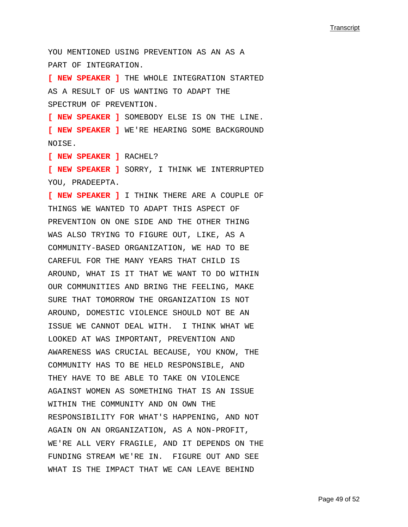YOU MENTIONED USING PREVENTION AS AN AS A PART OF INTEGRATION.

**[ NEW SPEAKER ]** THE WHOLE INTEGRATION STARTED AS A RESULT OF US WANTING TO ADAPT THE SPECTRUM OF PREVENTION.

**[ NEW SPEAKER ]** SOMEBODY ELSE IS ON THE LINE. **[ NEW SPEAKER ]** WE'RE HEARING SOME BACKGROUND NOISE.

**[ NEW SPEAKER ]** RACHEL?

**[ NEW SPEAKER ]** SORRY, I THINK WE INTERRUPTED YOU, PRADEEPTA.

**[ NEW SPEAKER ]** I THINK THERE ARE A COUPLE OF THINGS WE WANTED TO ADAPT THIS ASPECT OF PREVENTION ON ONE SIDE AND THE OTHER THING WAS ALSO TRYING TO FIGURE OUT, LIKE, AS A COMMUNITY-BASED ORGANIZATION, WE HAD TO BE CAREFUL FOR THE MANY YEARS THAT CHILD IS AROUND, WHAT IS IT THAT WE WANT TO DO WITHIN OUR COMMUNITIES AND BRING THE FEELING, MAKE SURE THAT TOMORROW THE ORGANIZATION IS NOT AROUND, DOMESTIC VIOLENCE SHOULD NOT BE AN ISSUE WE CANNOT DEAL WITH. I THINK WHAT WE LOOKED AT WAS IMPORTANT, PREVENTION AND AWARENESS WAS CRUCIAL BECAUSE, YOU KNOW, THE COMMUNITY HAS TO BE HELD RESPONSIBLE, AND THEY HAVE TO BE ABLE TO TAKE ON VIOLENCE AGAINST WOMEN AS SOMETHING THAT IS AN ISSUE WITHIN THE COMMUNITY AND ON OWN THE RESPONSIBILITY FOR WHAT'S HAPPENING, AND NOT AGAIN ON AN ORGANIZATION, AS A NON-PROFIT, WE'RE ALL VERY FRAGILE, AND IT DEPENDS ON THE FUNDING STREAM WE'RE IN. FIGURE OUT AND SEE WHAT IS THE IMPACT THAT WE CAN LEAVE BEHIND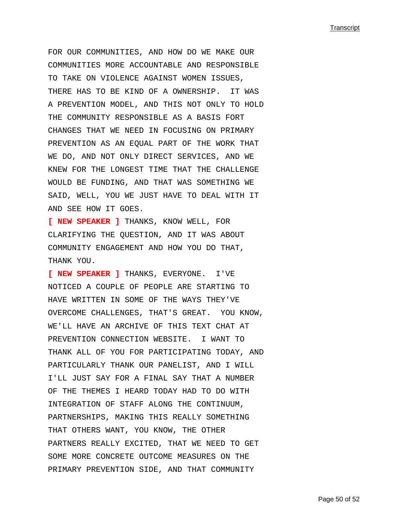FOR OUR COMMUNITIES, AND HOW DO WE MAKE OUR COMMUNITIES MORE ACCOUNTABLE AND RESPONSIBLE TO TAKE ON VIOLENCE AGAINST WOMEN ISSUES, THERE HAS TO BE KIND OF A OWNERSHIP. IT WAS A PREVENTION MODEL, AND THIS NOT ONLY TO HOLD THE COMMUNITY RESPONSIBLE AS A BASIS FORT CHANGES THAT WE NEED IN FOCUSING ON PRIMARY PREVENTION AS AN EQUAL PART OF THE WORK THAT WE DO, AND NOT ONLY DIRECT SERVICES, AND WE KNEW FOR THE LONGEST TIME THAT THE CHALLENGE WOULD BE FUNDING, AND THAT WAS SOMETHING WE SAID, WELL, YOU WE JUST HAVE TO DEAL WITH IT AND SEE HOW IT GOES.

**[ NEW SPEAKER ]** THANKS, KNOW WELL, FOR CLARIFYING THE QUESTION, AND IT WAS ABOUT COMMUNITY ENGAGEMENT AND HOW YOU DO THAT, THANK YOU.

**[ NEW SPEAKER ]** THANKS, EVERYONE. I'VE NOTICED A COUPLE OF PEOPLE ARE STARTING TO HAVE WRITTEN IN SOME OF THE WAYS THEY'VE OVERCOME CHALLENGES, THAT'S GREAT. YOU KNOW, WE'LL HAVE AN ARCHIVE OF THIS TEXT CHAT AT PREVENTION CONNECTION WEBSITE. I WANT TO THANK ALL OF YOU FOR PARTICIPATING TODAY, AND PARTICULARLY THANK OUR PANELIST, AND I WILL I'LL JUST SAY FOR A FINAL SAY THAT A NUMBER OF THE THEMES I HEARD TODAY HAD TO DO WITH INTEGRATION OF STAFF ALONG THE CONTINUUM, PARTNERSHIPS, MAKING THIS REALLY SOMETHING THAT OTHERS WANT, YOU KNOW, THE OTHER PARTNERS REALLY EXCITED, THAT WE NEED TO GET SOME MORE CONCRETE OUTCOME MEASURES ON THE PRIMARY PREVENTION SIDE, AND THAT COMMUNITY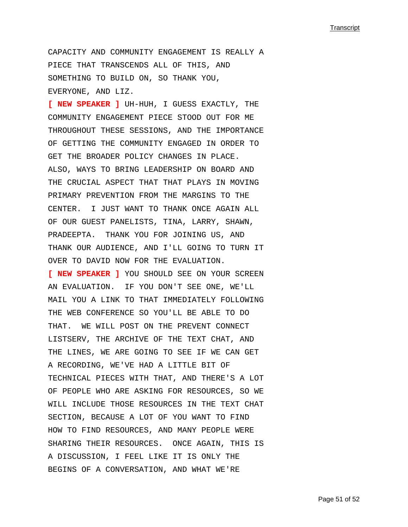CAPACITY AND COMMUNITY ENGAGEMENT IS REALLY A PIECE THAT TRANSCENDS ALL OF THIS, AND SOMETHING TO BUILD ON, SO THANK YOU, EVERYONE, AND LIZ.

**[ NEW SPEAKER ]** UH-HUH, I GUESS EXACTLY, THE COMMUNITY ENGAGEMENT PIECE STOOD OUT FOR ME THROUGHOUT THESE SESSIONS, AND THE IMPORTANCE OF GETTING THE COMMUNITY ENGAGED IN ORDER TO GET THE BROADER POLICY CHANGES IN PLACE. ALSO, WAYS TO BRING LEADERSHIP ON BOARD AND THE CRUCIAL ASPECT THAT THAT PLAYS IN MOVING PRIMARY PREVENTION FROM THE MARGINS TO THE CENTER. I JUST WANT TO THANK ONCE AGAIN ALL OF OUR GUEST PANELISTS, TINA, LARRY, SHAWN, PRADEEPTA. THANK YOU FOR JOINING US, AND THANK OUR AUDIENCE, AND I'LL GOING TO TURN IT OVER TO DAVID NOW FOR THE EVALUATION. **[ NEW SPEAKER ]** YOU SHOULD SEE ON YOUR SCREEN AN EVALUATION. IF YOU DON'T SEE ONE, WE'LL MAIL YOU A LINK TO THAT IMMEDIATELY FOLLOWING THE WEB CONFERENCE SO YOU'LL BE ABLE TO DO THAT. WE WILL POST ON THE PREVENT CONNECT LISTSERV, THE ARCHIVE OF THE TEXT CHAT, AND THE LINES, WE ARE GOING TO SEE IF WE CAN GET A RECORDING, WE'VE HAD A LITTLE BIT OF TECHNICAL PIECES WITH THAT, AND THERE'S A LOT OF PEOPLE WHO ARE ASKING FOR RESOURCES, SO WE WILL INCLUDE THOSE RESOURCES IN THE TEXT CHAT SECTION, BECAUSE A LOT OF YOU WANT TO FIND HOW TO FIND RESOURCES, AND MANY PEOPLE WERE SHARING THEIR RESOURCES. ONCE AGAIN, THIS IS A DISCUSSION, I FEEL LIKE IT IS ONLY THE BEGINS OF A CONVERSATION, AND WHAT WE'RE